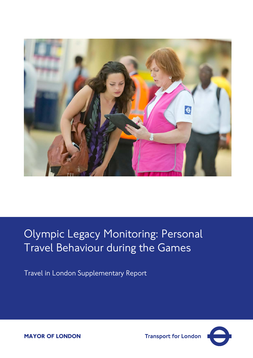

# Olympic Legacy Monitoring: Personal Travel Behaviour during the Games

Travel in London Supplementary Report



**MAYOR OF LONDON** 

**Transport for London**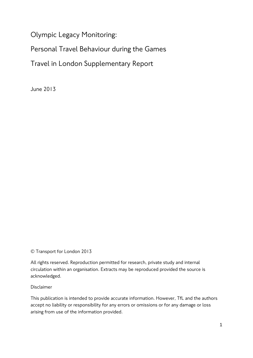Olympic Legacy Monitoring:

Personal Travel Behaviour during the Games

Travel in London Supplementary Report

June 2013

© Transport for London 2013

All rights reserved. Reproduction permitted for research, private study and internal circulation within an organisation. Extracts may be reproduced provided the source is acknowledged.

Disclaimer

This publication is intended to provide accurate information. However, TfL and the authors accept no liability or responsibility for any errors or omissions or for any damage or loss arising from use of the information provided.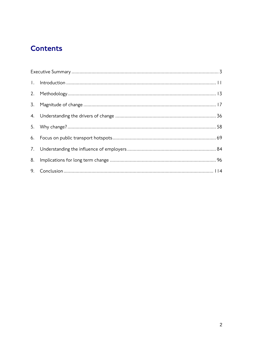# **Contents**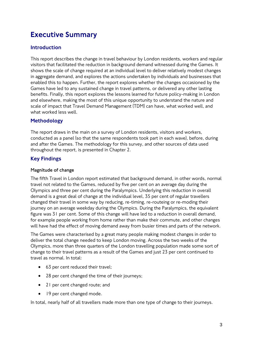# <span id="page-3-0"></span>Executive Summary

# Introduction

This report describes the change in travel behaviour by London residents, workers and regular visitors that facilitated the reduction in background demand witnessed during the Games. It shows the scale of change required at an individual level to deliver relatively modest changes in aggregate demand, and explores the actions undertaken by individuals and businesses that enabled this to happen. Further, the report explores whether the changes occasioned by the Games have led to any sustained change in travel patterns, or delivered any other lasting benefits. Finally, this report explores the lessons learned for future policy-making in London and elsewhere, making the most of this unique opportunity to understand the nature and scale of impact that Travel Demand Management (TDM) can have, what worked well, and what worked less well.

# Methodology

The report draws in the main on a survey of London residents, visitors and workers, conducted as a panel (so that the same respondents took part in each wave), before, during and after the Games. The methodology for this survey, and other sources of data used throughout the report, is presented in Chapter 2.

## Key Findings

### **Magnitude of change**

The fifth Travel in London report estimated that background demand, in other words, normal travel not related to the Games, reduced by five per cent on an average day during the Olympics and three per cent during the Paralympics. Underlying this reduction in overall demand is a great deal of change at the individual level, 35 per cent of regular travellers changed their travel in some way by reducing, re-timing, re-routeing or re-moding their journey on an average weekday during the Olympics. During the Paralympics, the equivalent figure was 31 per cent. Some of this change will have led to a reduction in overall demand, for example people working from home rather than make their commute, and other changes will have had the effect of moving demand away from busier times and parts of the network.

The Games were characterised by a great many people making modest changes in order to deliver the total change needed to keep London moving. Across the two weeks of the Olympics, more than three quarters of the London travelling population made some sort of change to their travel patterns as a result of the Games and just 23 per cent continued to travel as normal. In total:

- 63 per cent reduced their travel;
- 28 per cent changed the time of their journeys;
- 21 per cent changed route; and
- 19 per cent changed mode.

In total, nearly half of all travellers made more than one type of change to their journeys.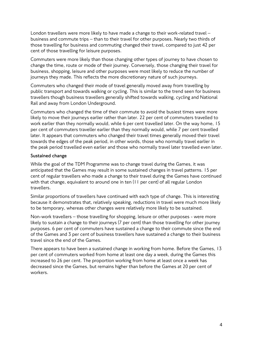London travellers were more likely to have made a change to their work-related travel – business and commute trips – than to their travel for other purposes. Nearly two thirds of those travelling for business and commuting changed their travel, compared to just 42 per cent of those travelling for leisure purposes.

Commuters were more likely than those changing other types of journey to have chosen to change the time, route or mode of their journey. Conversely, those changing their travel for business, shopping, leisure and other purposes were most likely to reduce the number of journeys they made. This reflects the more discretionary nature of such journeys.

Commuters who changed their mode of travel generally moved away from travelling by public transport and towards walking or cycling. This is similar to the trend seen for business travellers though business travellers generally shifted towards walking, cycling and National Rail and away from London Underground.

Commuters who changed the time of their commute to avoid the busiest times were more likely to move their journeys earlier rather than later. 22 per cent of commuters travelled to work earlier than they normally would, while 6 per cent travelled later. On the way home, 15 per cent of commuters traveller earlier than they normally would, while 7 per cent travelled later. It appears that commuters who changed their travel times generally moved their travel towards the edges of the peak period, in other words, those who normally travel earlier in the peak period travelled even earlier and those who normally travel later travelled even later.

### **Sustained change**

While the goal of the TDM Programme was to change travel during the Games, it was anticipated that the Games may result in some sustained changes in travel patterns. 15 per cent of regular travellers who made a change to their travel during the Games have continued with that change, equivalent to around one in ten (11 per cent) of all regular London travellers.

Similar proportions of travellers have continued with each type of change. This is interesting because it demonstrates that, relatively speaking, reductions in travel were much more likely to be temporary, whereas other changes were relatively more likely to be sustained.

Non-work travellers – those travelling for shopping, leisure or other purposes - were more likely to sustain a change to their journeys (7 per cent) than those travelling for other journey purposes. 6 per cent of commuters have sustained a change to their commute since the end of the Games and 3 per cent of business travellers have sustained a change to their business travel since the end of the Games.

There appears to have been a sustained change in working from home. Before the Games, 13 per cent of commuters worked from home at least one day a week, during the Games this increased to 26 per cent. The proportion working from home at least once a week has decreased since the Games, but remains higher than before the Games at 20 per cent of workers.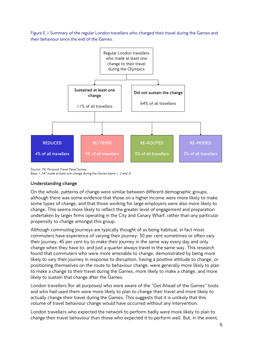Figure E.1 Summary of the regular London travellers who changed their travel during the Games and their behaviour since the end of the Games.



*Source: TfL Personal Travel Panel Survey.*

### **Understanding change**

On the whole, patterns of change were similar between different demographic groups, although there was some evidence that those on a higher income were more likely to make some types of change, and that those working for large employers were also more likely to change. This seems more likely to reflect the greater level of engagement and preparation undertaken by larger firms operating in the City and Canary Wharf, rather than any particular propensity to change amongst this group.

Although commuting journeys are typically thought of as being habitual, in fact most commuters have experience of varying their journey: 30 per cent sometimes or often vary their journey, 45 per cent try to make their journey in the same way every day and only change when they have to, and just a quarter always travel in the same way. This research found that commuters who were more amenable to change, demonstrated by being more likely to vary their journey in response to disruption, having a positive attitude to change, or positioning themselves on the route to behaviour change, were generally more likely to plan to make a change to their travel during the Games, more likely to make a change, and more likely to sustain that change after the Games.

London travellers (for all purposes) who were aware of the "Get Ahead of the Games" tools and who had used them were more likely to plan to change their travel and more likely to actually change their travel during the Games. This suggests that it is unlikely that this volume of travel behaviour change would have occurred without any intervention.

London travellers who expected the network to perform badly were more likely to plan to change their travel behaviour than those who expected it to perform well. But, in the event,

*Base: 1,347 made at least one change during the Games (wave 1, 2 and 3)*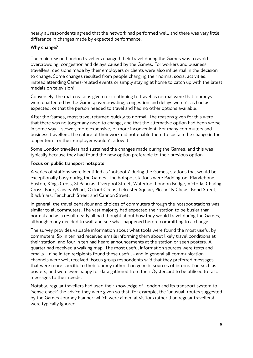nearly all respondents agreed that the network had performed well, and there was very little difference in changes made by expected performance.

### **Why change?**

The main reason London travellers changed their travel during the Games was to avoid overcrowding, congestion and delays caused by the Games. For workers and business travellers, decisions made by their employers or clients were also influential in the decision to change. Some changes resulted from people changing their normal social activities, instead attending Games-related events or simply staying at home to catch up with the latest medals on television!

Conversely, the main reasons given for continuing to travel as normal were that journeys were unaffected by the Games; overcrowding, congestion and delays weren't as bad as expected; or that the person needed to travel and had no other options available.

After the Games, most travel returned quickly to normal. The reasons given for this were that there was no longer any need to change, and that the alternative option had been worse in some way – slower, more expensive, or more inconvenient. For many commuters and business travellers, the nature of their work did not enable them to sustain the change in the longer term, or their employer wouldn't allow it.

Some London travellers had sustained the changes made during the Games, and this was typically because they had found the new option preferable to their previous option.

### **Focus on public transport hotspots**

A series of stations were identified as 'hotspots' during the Games, stations that would be exceptionally busy during the Games. The hotspot stations were Paddington, Marylebone, Euston, Kings Cross, St Pancras, Liverpool Street, Waterloo, London Bridge, Victoria, Charing Cross, Bank, Canary Wharf, Oxford Circus, Leicester Square, Piccadilly Circus, Bond Street, Blackfriars, Fenchurch Street and Cannon Street.

In general, the travel behaviour and choices of commuters through the hotspot stations was similar to all commuters. The vast majority had expected their station to be busier than normal and as a result nearly all had thought about how they would travel during the Games, although many decided to wait and see what happened before committing to a change.

The survey provides valuable information about what tools were found the most useful by commuters. Six in ten had received emails informing them about likely travel conditions at their station, and four in ten had heard announcements at the station or seen posters. A quarter had received a walking map. The most useful information sources were texts and emails – nine in ten recipients found these useful - and in general all communication channels were well received. Focus group respondents said that they preferred messages that were more specific to their journey rather than generic sources of information such as posters, and were even happy for data gathered from their Oystercard to be utilised to tailor messages to their needs.

Notably, regular travellers had used their knowledge of London and its transport system to 'sense check' the advice they were given so that, for example, the 'unusual' routes suggested by the Games Journey Planner (which were aimed at visitors rather than regular travellers) were typically ignored.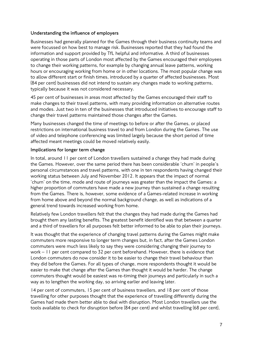### **Understanding the influence of employers**

Businesses had generally planned for the Games through their business continuity teams and were focussed on how best to manage risk. Businesses reported that they had found the information and support provided by TfL helpful and informative. A third of businesses operating in those parts of London most affected by the Games encouraged their employees to change their working patterns, for example by changing annual leave patterns, working hours or encouraging working from home or in other locations. The most popular change was to allow different start or finish times, introduced by a quarter of affected businesses. Most (84 per cent) businesses did not intend to sustain any changes made to working patterns, typically because it was not considered necessary.

45 per cent of businesses in areas most affected by the Games encouraged their staff to make changes to their travel patterns, with many providing information on alternative routes and modes. Just two in ten of the businesses that introduced initiatives to encourage staff to change their travel patterns maintained those changes after the Games.

Many businesses changed the time of meetings to before or after the Games, or placed restrictions on international business travel to and from London during the Games. The use of video and telephone conferencing was limited largely because the short period of time affected meant meetings could be moved relatively easily.

### **Implications for longer term change**

In total, around 11 per cent of London travellers sustained a change they had made during the Games. However, over the same period there has been considerable 'churn' in people's personal circumstances and travel patterns, with one in ten respondents having changed their working status between July and November 2012. It appears that the impact of normal 'churn' on the time, mode and route of journeys was greater than the impact the Games: a higher proportion of commuters have made a new journey than sustained a change resulting from the Games. There is, however, some evidence of a Games-related increase in working from home above and beyond the normal background change, as well as indications of a general trend towards increased working from home.

Relatively few London travellers felt that the changes they had made during the Games had brought them any lasting benefits. The greatest benefit identified was that between a quarter and a third of travellers for all purposes felt better informed to be able to plan their journeys.

It was thought that the experience of changing travel patterns during the Games might make commuters more responsive to longer term changes but, in fact, after the Games London commuters were much less likely to say they were considering changing their journey to work – 11 per cent compared to 32 per cent beforehand. However, there is evidence that London commuters do now consider it to be easier to change their travel behaviour than they did before the Games. For all types of change, more respondents thought it would be easier to make that change after the Games than thought it would be harder. The change commuters thought would be easiest was re-timing their journeys and particularly in such a way as to lengthen the working day, so arriving earlier and leaving later.

14 per cent of commuters, 15 per cent of business travellers, and 18 per cent of those travelling for other purposes thought that the experience of travelling differently during the Games had made them better able to deal with disruption. Most London travellers use the tools available to check for disruption before (84 per cent) and whilst travelling (68 per cent),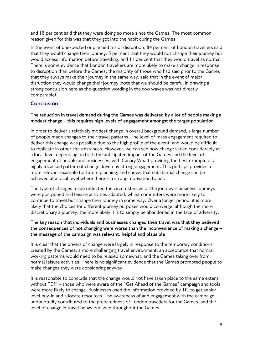and 18 per cent said that they were doing so more since the Games. The most common reason given for this was that they got into the habit during the Games.

In the event of unexpected or planned major disruption, 84 per cent of London travellers said that they would change their journey, 5 per cent that they would not change their journey but would access information before travelling, and 11 per cent that they would travel as normal. There is some evidence that London travellers are more likely to make a change in response to disruption than before the Games: the majority of those who had said prior to the Games that they always make their journey in the same way, said that in the event of major disruption they would change their journey (note that we should be careful in drawing a strong conclusion here as the question wording in the two waves was not directly comparable).

## **Conclusion**

### **The reduction in travel demand during the Games was delivered by a lot of people making a modest change – this requires high levels of engagement amongst the target population**

In order to deliver a relatively modest change in overall background demand, a large number of people made changes to their travel patterns. The level of mass engagement required to deliver this change was possible due to the high profile of the event, and would be difficult to replicate in other circumstances. However, we can see how change varied considerably at a local level depending on both the anticipated impact of the Games and the level of engagement of people and businesses, with Canary Wharf providing the best example of a highly localised pattern of change driven by strong engagement. This perhaps provides a more relevant example for future planning, and shows that substantial change can be achieved at a local level where there is a strong motivation to act.

The type of changes made reflected the circumstances of the journey – business journeys were postponed and leisure activities adapted, whilst commuters were more likely to continue to travel but change their journey in some way. Over a longer period, it is more likely that the choices for different journey purposes would converge, although the more discretionary a journey, the more likely it is to simply be abandoned in the face of adversity.

### **The key reason that individuals and businesses changed their travel was that they believed the consequences of not changing were worse than the inconvenience of making a change – the message of the campaign was relevant, helpful and plausible**

It is clear that the drivers of change were largely in response to the temporary conditions created by the Games: a more challenging travel environment, an acceptance that normal working patterns would need to be relaxed somewhat, and the Games taking over from normal leisure activities. There is no significant evidence that the Games prompted people to make changes they were considering anyway.

It is reasonable to conclude that the change would not have taken place to the same extent without TDM – those who were aware of the "Get Ahead of the Games" campaign and tools were more likely to change. Businesses used the information provided by TfL to get senior level buy-in and allocate resources. The awareness of and engagement with the campaign undoubtedly contributed to the preparedness of London travellers for the Games, and the level of change in travel behaviour seen throughout the Games.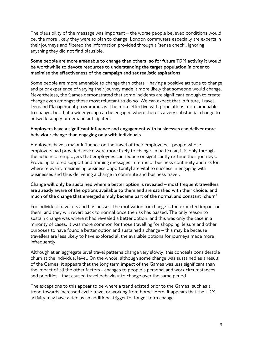The plausibility of the message was important – the worse people believed conditions would be, the more likely they were to plan to change. London commuters especially are experts in their journeys and filtered the information provided through a 'sense check', ignoring anything they did not find plausible.

### **Some people are more amenable to change than others, so for future TDM activity it would be worthwhile to devote resources to understanding the target population in order to maximise the effectiveness of the campaign and set realistic aspirations**

Some people are more amenable to change than others – having a positive attitude to change and prior experience of varying their journey made it more likely that someone would change. Nevertheless, the Games demonstrated that some incidents are significant enough to create change even amongst those most reluctant to do so. We can expect that in future, Travel Demand Management programmes will be more effective with populations more amenable to change, but that a wider group can be engaged where there is a very substantial change to network supply or demand anticipated.

### **Employers have a significant influence and engagement with businesses can deliver more behaviour change than engaging only with individuals**

Employers have a major influence on the travel of their employees – people whose employers had provided advice were more likely to change. In particular, it is only through the actions of employers that employees can reduce or significantly re-time their journeys. Providing tailored support and framing messages in terms of business continuity and risk (or, where relevant, maximising business opportunity) are vital to success in engaging with businesses and thus delivering a change in commute and business travel.

### **Change will only be sustained where a better option is revealed – most frequent travellers are already aware of the options available to them and are satisfied with their choice, and much of the change that emerged simply became part of the normal and constant 'churn'**

For individual travellers and businesses, the motivation for change is the expected impact on them, and they will revert back to normal once the risk has passed. The only reason to sustain change was where it had revealed a better option, and this was only the case in a minority of cases. It was more common for those travelling for shopping, leisure and other purposes to have found a better option and sustained a change – this may be because travellers are less likely to have explored all the available options for journeys made more infrequently.

Although at an aggregate level travel patterns change very slowly, this conceals considerable churn at the individual level. On the whole, although some change was sustained as a result of the Games, it appears that the long term impact of the Games was less significant than the impact of all the other factors - changes to people's personal and work circumstances and priorities - that caused travel behaviour to change over the same period.

The exceptions to this appear to be where a trend existed prior to the Games, such as a trend towards increased cycle travel or working from home. Here, it appears that the TDM activity may have acted as an additional trigger for longer term change.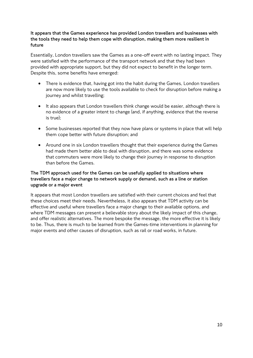### **It appears that the Games experience has provided London travellers and businesses with the tools they need to help them cope with disruption, making them more resilient in future**

Essentially, London travellers saw the Games as a one-off event with no lasting impact. They were satisfied with the performance of the transport network and that they had been provided with appropriate support, but they did not expect to benefit in the longer term. Despite this, some benefits have emerged:

- There is evidence that, having got into the habit during the Games, London travellers are now more likely to use the tools available to check for disruption before making a journey and whilst travelling;
- It also appears that London travellers think change would be easier, although there is no evidence of a greater intent to change (and, if anything, evidence that the reverse is true);
- Some businesses reported that they now have plans or systems in place that will help them cope better with future disruption; and
- Around one in six London travellers thought that their experience during the Games had made them better able to deal with disruption, and there was some evidence that commuters were more likely to change their journey in response to disruption than before the Games.

### **The TDM approach used for the Games can be usefully applied to situations where travellers face a major change to network supply or demand, such as a line or station upgrade or a major event**

It appears that most London travellers are satisfied with their current choices and feel that these choices meet their needs. Nevertheless, it also appears that TDM activity can be effective and useful where travellers face a major change to their available options, and where TDM messages can present a believable story about the likely impact of this change, and offer realistic alternatives. The more bespoke the message, the more effective it is likely to be. Thus, there is much to be learned from the Games-time interventions in planning for major events and other causes of disruption, such as rail or road works, in future.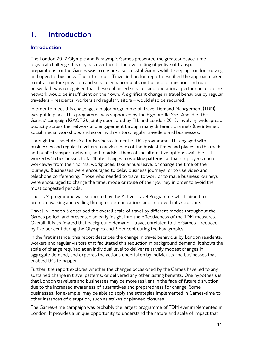# <span id="page-11-0"></span>1. Introduction

# Introduction

The London 2012 Olympic and Paralympic Games presented the greatest peace-time logistical challenge this city has ever faced. The over-riding objective of transport preparations for the Games was to ensure a successful Games whilst keeping London moving and open for business. The fifth annual Travel in London report described the approach taken to infrastructure provision and service enhancements on the public transport and road network. It was recognised that these enhanced services and operational performance on the network would be insufficient on their own. A significant change in travel behaviour by regular travellers – residents, workers and regular visitors – would also be required.

In order to meet this challenge, a major programme of Travel Demand Management (TDM) was put in place. This programme was supported by the high profile 'Get Ahead of the Games' campaign (GAOTG), jointly sponsored by TfL and London 2012, involving widespread publicity across the network and engagement through many different channels (the internet, social media, workshops and so on) with visitors, regular travellers and businesses.

Through the Travel Advice for Business element of this programme, TfL engaged with businesses and regular travellers to advise them of the busiest times and places on the roads and public transport network, and to advise them of the alternative options available. TfL worked with businesses to facilitate changes to working patterns so that employees could work away from their normal workplaces, take annual leave, or change the time of their journeys. Businesses were encouraged to delay business journeys, or to use video and telephone conferencing. Those who needed to travel to work or to make business journeys were encouraged to change the time, mode or route of their journey in order to avoid the most congested periods.

The TDM programme was supported by the Active Travel Programme which aimed to promote walking and cycling through communications and improved infrastructure.

Travel in London 5 described the overall scale of travel by different modes throughout the Games period, and presented an early insight into the effectiveness of the TDM measures. Overall, it is estimated that background demand – travel unrelated to the Games – reduced by five per cent during the Olympics and 3 per cent during the Paralympics.

In the first instance, this report describes the change in travel behaviour by London residents, workers and regular visitors that facilitated this reduction in background demand. It shows the scale of change required at an individual level to deliver relatively modest changes in aggregate demand, and explores the actions undertaken by individuals and businesses that enabled this to happen.

Further, the report explores whether the changes occasioned by the Games have led to any sustained change in travel patterns, or delivered any other lasting benefits. One hypothesis is that London travellers and businesses may be more resilient in the face of future disruption, due to the increased awareness of alternatives and preparedness for change. Some businesses, for example, may be able to apply the strategies implemented in Games-time to other instances of disruption, such as strikes or planned closures.

The Games-time campaign was probably the largest programme of TDM ever implemented in London. It provides a unique opportunity to understand the nature and scale of impact that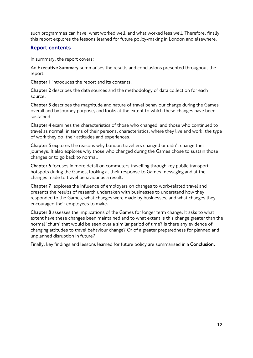such programmes can have, what worked well, and what worked less well. Therefore, finally, this report explores the lessons learned for future policy-making in London and elsewhere.

# Report contents

In summary, the report covers:

An **Executive Summary** summarises the results and conclusions presented throughout the report.

**Chapter 1** introduces the report and its contents.

**Chapter 2** describes the data sources and the methodology of data collection for each source.

**Chapter 3** describes the magnitude and nature of travel behaviour change during the Games overall and by journey purpose, and looks at the extent to which these changes have been sustained.

**Chapter 4** examines the characteristics of those who changed, and those who continued to travel as normal, in terms of their personal characteristics, where they live and work, the type of work they do, their attitudes and experiences.

**Chapter 5** explores the reasons why London travellers changed or didn't change their journeys. It also explores why those who changed during the Games chose to sustain those changes or to go back to normal.

**Chapter 6** focuses in more detail on commuters travelling through key public transport hotspots during the Games, looking at their response to Games messaging and at the changes made to travel behaviour as a result.

**Chapter 7** explores the influence of employers on changes to work-related travel and presents the results of research undertaken with businesses to understand how they responded to the Games, what changes were made by businesses, and what changes they encouraged their employees to make.

**Chapter 8** assesses the implications of the Games for longer term change. It asks to what extent have these changes been maintained and to what extent is this change greater than the normal 'churn' that would be seen over a similar period of time? Is there any evidence of changing attitudes to travel behaviour change? Or of a greater preparedness for planned and unplanned disruption in future?

Finally, key findings and lessons learned for future policy are summarised in a **Conclusion.**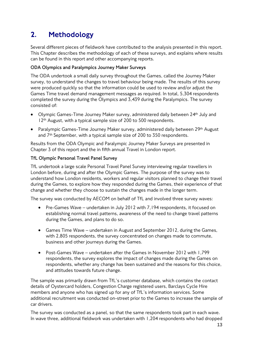# <span id="page-13-0"></span>2. Methodology

Several different pieces of fieldwork have contributed to the analysis presented in this report. This Chapter describes the methodology of each of these surveys, and explains where results can be found in this report and other accompanying reports.

### **ODA Olympics and Paralympics Journey Maker Surveys**

The ODA undertook a small daily survey throughout the Games, called the Journey Maker survey, to understand the changes to travel behaviour being made. The results of this survey were produced quickly so that the information could be used to review and/or adjust the Games Time travel demand management messages as required. In total, 5,304 respondents completed the survey during the Olympics and 3,439 during the Paralympics. The survey consisted of:

- Olympic Games-Time Journey Maker survey, administered daily between 24th July and 12<sup>th</sup> August, with a typical sample size of 200 to 500 respondents.
- Paralympic Games-Time Journey Maker survey, administered daily between 29<sup>th</sup> August and 7th September, with a typical sample size of 200 to 350 respondents.

Results from the ODA Olympic and Paralympic Journey Maker Surveys are presented in Chapter 3 of this report and the in fifth annual Travel in London report.

### **TfL Olympic Personal Travel Panel Survey**

TfL undertook a large scale Personal Travel Panel Survey interviewing regular travellers in London before, during and after the Olympic Games. The purpose of the survey was to understand how London residents, workers and regular visitors planned to change their travel during the Games, to explore how they responded during the Games, their experience of that change and whether they choose to sustain the changes made in the longer term.

The survey was conducted by AECOM on behalf of TfL and involved three survey waves:

- Pre-Games Wave undertaken in July 2012 with 7,194 respondents, it focused on establishing normal travel patterns, awareness of the need to change travel patterns during the Games, and plans to do so.
- Games Time Wave undertaken in August and September 2012, during the Games, with 2,805 respondents, the survey concentrated on changes made to commute, business and other journeys during the Games.
- Post-Games Wave undertaken after the Games in November 2012 with 1,799 respondents, the survey explores the impact of changes made during the Games on respondents, whether any change has been sustained and the reasons for this choice, and attitudes towards future change.

The sample was primarily drawn from TfL's customer database, which contains the contact details of Oystercard holders, Congestion Charge registered users, Barclays Cycle Hire members and anyone who has signed up for any of TfL's information services. Some additional recruitment was conducted on-street prior to the Games to increase the sample of car drivers.

The survey was conducted as a panel, so that the same respondents took part in each wave. In wave three, additional fieldwork was undertaken with 1,204 respondents who had dropped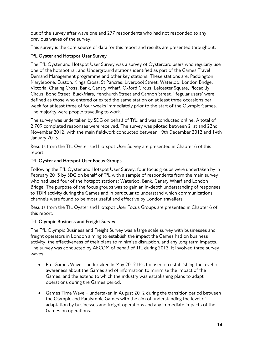out of the survey after wave one and 277 respondents who had not responded to any previous waves of the survey.

This survey is the core source of data for this report and results are presented throughout.

### **TfL Oyster and Hotspot User Survey**

The TfL Oyster and Hotspot User Survey was a survey of Oystercard users who regularly use one of the hotspot rail and Underground stations identified as part of the Games Travel Demand Management programme and other key stations. These stations are: Paddington, Marylebone, Euston, Kings Cross, St Pancras, Liverpool Street, Waterloo, London Bridge, Victoria, Charing Cross, Bank, Canary Wharf, Oxford Circus, Leicester Square, Piccadilly Circus, Bond Street, Blackfriars, Fenchurch Street and Cannon Street. 'Regular users' were defined as those who entered or exited the same station on at least three occasions per week for at least three of four weeks immediately prior to the start of the Olympic Games. The majority were people travelling to work.

The survey was undertaken by SDG on behalf of TfL, and was conducted online. A total of 2,709 completed responses were received. The survey was piloted between 21st and 22nd November 2012, with the main fieldwork conducted between 19th December 2012 and 14th January 2013.

Results from the TfL Oyster and Hotspot User Survey are presented in Chapter 6 of this report.

### **TfL Oyster and Hotspot User Focus Groups**

Following the TfL Oyster and Hotspot User Survey, four focus groups were undertaken by in February 2013 by SDG on behalf of TfL with a sample of respondents from the main survey who had used four of the hotspot stations: Waterloo, Bank, Canary Wharf and London Bridge. The purpose of the focus groups was to gain an in-depth understanding of responses to TDM activity during the Games and in particular to understand which communications channels were found to be most useful and effective by London travellers.

Results from the TfL Oyster and Hotspot User Focus Groups are presented in Chapter 6 of this report.

### **TfL Olympic Business and Freight Survey**

The TfL Olympic Business and Freight Survey was a large scale survey with businesses and freight operators in London aiming to establish the impact the Games had on business activity, the effectiveness of their plans to minimise disruption, and any long term impacts. The survey was conducted by AECOM of behalf of TfL during 2012. It involved three survey waves:

- Pre-Games Wave undertaken in May 2012 this focused on establishing the level of awareness about the Games and of information to minimise the impact of the Games, and the extend to which the industry was establishing plans to adapt operations during the Games period.
- Games Time Wave undertaken in August 2012 during the transition period between the Olympic and Paralympic Games with the aim of understanding the level of adaptation by businesses and freight operations and any immediate impacts of the Games on operations.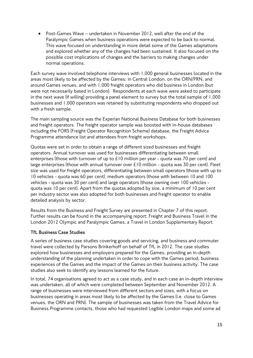• Post-Games Wave – undertaken in November 2012, well after the end of the Paralympic Games when business operations were expected to be back to normal. This wave focused on understanding in more detail some of the Games adaptations and explored whether any of the changes had been sustained. It also focused on the possible cost implications of changes and the barriers to making changes under normal operations.

Each survey wave involved telephone interviews with 1,000 general businesses located in the areas most likely to be affected by the Games: in Central London, on the ORN/PRN, and around Games venues, and with 1,000 freight operators who did business in London (but were not necessarily based in London). Respondents at each wave were asked to participate in the next wave (if willing) providing a panel element to survey but the total sample of 1,000 businesses and 1,000 operators was retained by substituting respondents who dropped out with a fresh sample.

The main sampling source was the Experian National Business Database for both businesses and freight operators. The freight operator sample was boosted with in-house databases including the FORS (Freight Operator Recognition Scheme) database, the Freight Advice Programme attendance list and attendees from freight workshops.

Quotas were set in order to obtain a range of different sized businesses and freight operators. Annual turnover was used for businesses differentiating between small enterprises (those with turnover of up to £10 million per year - quota was 70 per cent) and large enterprises (those with annual turnover over  $E10$  million - quota was 30 per cent). Fleet size was used for freight operators, differentiating between small operators (those with up to 10 vehicles - quota was 60 per cent), medium operators (those with between 10 and 100 vehicles - quota was 30 per cent) and large operators (those owning over 100 vehicles quota was 10 per cent). Apart from the quotas adopted by size, a minimum of 10 per cent per industry sector was also adopted for both businesses and freight operator to enable detailed analysis by sector.

Results from the Business and Freight Survey are presented in Chapter 7 of this report. Further results can be found in the accompanying report: Freight and Business Travel in the London 2012 Olympic and Paralympic Games, a Travel in London Supplementary Report.

### **TfL Business Case Studies**

A series of business case studies covering goods and servicing, and business and commuter travel were collected by Parsons Brinkerhoff on behalf of TfL in 2012. The case studies explored how businesses and employers prepared for the Games, providing an in-depth understanding of the planning undertaken in order to cope with the Games period, business experiences of the Games and the impact of the Games on their business activity. The case studies also seek to identify any lessons learned for the future.

In total, 74 organisations agreed to act as a case study, and in each case an in-depth interview was undertaken, all of which were completed between September and November 2012. A range of businesses were interviewed from different sectors and sizes, with a focus on businesses operating in areas most likely to be affected by the Games (i.e. close to Games venues, the ORN and PRN). The sample of businesses was taken from the Travel Advice for Business Programme contacts, those who had requested Legible London maps and some ad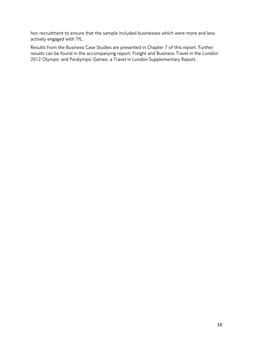hoc recruitment to ensure that the sample included businesses which were more and less actively engaged with TfL.

Results from the Business Case Studies are presented in Chapter 7 of this report. Further results can be found in the accompanying report: Freight and Business Travel in the London 2012 Olympic and Paralympic Games, a Travel in London Supplementary Report.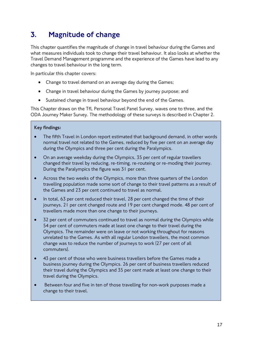# <span id="page-17-0"></span>3. Magnitude of change

This chapter quantifies the magnitude of change in travel behaviour during the Games and what measures individuals took to change their travel behaviour. It also looks at whether the Travel Demand Management programme and the experience of the Games have lead to any changes to travel behaviour in the long term.

In particular this chapter covers:

- Change to travel demand on an average day during the Games;
- Change in travel behaviour during the Games by journey purpose; and
- Sustained change in travel behaviour bevond the end of the Games.

This Chapter draws on the TfL Personal Travel Panel Survey, waves one to three, and the ODA Journey Maker Survey. The methodology of these surveys is described in Chapter 2.

### **Key findings:**

- The fifth Travel in London report estimated that background demand, in other words normal travel not related to the Games, reduced by five per cent on an average day during the Olympics and three per cent during the Paralympics.
- On an average weekday during the Olympics, 35 per cent of regular travellers changed their travel by reducing, re-timing, re-routeing or re-moding their journey. During the Paralympics the figure was 31 per cent.
- Across the two weeks of the Olympics, more than three quarters of the London travelling population made some sort of change to their travel patterns as a result of the Games and 23 per cent continued to travel as normal.
- In total, 63 per cent reduced their travel, 28 per cent changed the time of their journeys, 21 per cent changed route and 19 per cent changed mode. 48 per cent of travellers made more than one change to their journeys.
- 32 per cent of commuters continued to travel as normal during the Olympics while 54 per cent of commuters made at least one change to their travel during the Olympics. The remainder were on leave or not working throughout for reasons unrelated to the Games. As with all regular London travellers, the most common change was to reduce the number of journeys to work (27 per cent of all commuters).
- 43 per cent of those who were business travellers before the Games made a business journey during the Olympics. 26 per cent of business travellers reduced their travel during the Olympics and 35 per cent made at least one change to their travel during the Olympics.
- Between four and five in ten of those travelling for non-work purposes made a change to their travel.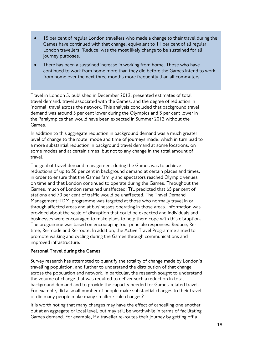- 15 per cent of regular London travellers who made a change to their travel during the Games have continued with that change, equivalent to 11 per cent of all regular London travellers. 'Reduce' was the most likely change to be sustained for all journey purposes.
- There has been a sustained increase in working from home. Those who have continued to work from home more than they did before the Games intend to work from home over the next three months more frequently than all commuters.

Travel in London 5, published in December 2012, presented estimates of total travel demand, travel associated with the Games, and the degree of reduction in 'normal' travel across the network. This analysis concluded that background travel demand was around 5 per cent lower during the Olympics and 3 per cent lower in the Paralympics than would have been expected in Summer 2012 without the Games.

In addition to this aggregate reduction in background demand was a much greater level of change to the route, mode and time of journeys made, which in turn lead to a more substantial reduction in background travel demand at some locations, on some modes and at certain times, but not to any change in the total amount of travel.

The goal of travel demand management during the Games was to achieve reductions of up to 30 per cent in background demand at certain places and times, in order to ensure that the Games family and spectators reached Olympic venues on time and that London continued to operate during the Games. Throughout the Games, much of London remained unaffected: TfL predicted that 65 per cent of stations and 70 per cent of traffic would be unaffected. The Travel Demand Management (TDM) programme was targeted at those who normally travel in or through affected areas and at businesses operating in those areas. Information was provided about the scale of disruption that could be expected and individuals and businesses were encouraged to make plans to help them cope with this disruption. The programme was based on encouraging four principle responses: Reduce, Retime, Re-mode and Re-route. In addition, the Active Travel Programme aimed to promote walking and cycling during the Games through communications and improved infrastructure.

### **Personal Travel during the Games**

Survey research has attempted to quantify the totality of change made by London's travelling population, and further to understand the distribution of that change across the population and network. In particular, the research sought to understand the volume of change that was required to deliver such a reduction in total background demand and to provide the capacity needed for Games-related travel. For example, did a small number of people make substantial changes to their travel, or did many people make many smaller-scale changes?

It is worth noting that many changes may have the effect of cancelling one another out at an aggregate or local level, but may still be worthwhile in terms of facilitating Games demand. For example, if a traveller re-routes their journey by getting off a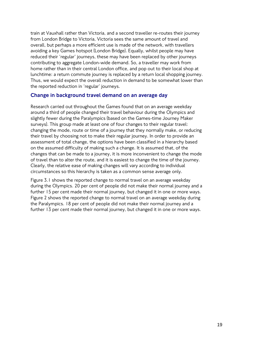train at Vauxhall rather than Victoria, and a second traveller re-routes their journey from London Bridge to Victoria, Victoria sees the same amount of travel and overall, but perhaps a more efficient use is made of the network, with travellers avoiding a key Games hotspot (London Bridge). Equally, whilst people may have reduced their 'regular' journeys, these may have been replaced by other journeys contributing to aggregate London-wide demand. So, a traveller may work from home rather than in their central London office, and pop out to their local shop at lunchtime: a return commute journey is replaced by a return local shopping journey. Thus, we would expect the overall reduction in demand to be somewhat lower than the reported reduction in 'regular' journeys.

### Change in background travel demand on an average day

Research carried out throughout the Games found that on an average weekday around a third of people changed their travel behaviour during the Olympics and slightly fewer during the Paralympics (based on the Games-time Journey Maker surveys). This group made at least one of four changes to their regular travel: changing the mode, route or time of a journey that they normally make, or reducing their travel by choosing not to make their regular journey. In order to provide an assessment of total change, the options have been classified in a hierarchy based on the assumed difficulty of making such a change. It is assumed that, of the changes that can be made to a journey, it is more inconvenient to change the mode of travel than to alter the route, and it is easiest to change the time of the journey. Clearly, the relative ease of making changes will vary according to individual circumstances so this hierarchy is taken as a common sense average only.

[Figure 3.1](#page-20-0) shows the reported change to normal travel on an average weekday during the Olympics. 20 per cent of people did not make their normal journey and a further 15 per cent made their normal journey, but changed it in one or more ways. [Figure 2](#page-20-1) shows the reported change to normal travel on an average weekday during the Paralympics. 18 per cent of people did not make their normal journey and a further 13 per cent made their normal journey, but changed it in one or more ways.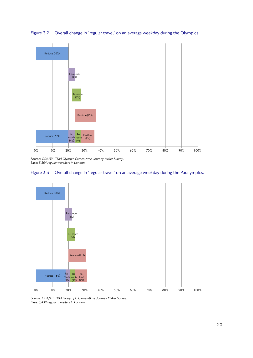

<span id="page-20-0"></span>Figure 3.2 Overall change in 'regular travel' on an average weekday during the Olympics.

*Source: ODA/TfL TDM Olympic Games-time Journey Maker Survey. Base: 5,304 regular travellers in London*

<span id="page-20-1"></span>



*Source: ODA/TfL TDM Paralympic Games-time Journey Maker Survey. Base: 3,439 regular travellers in London*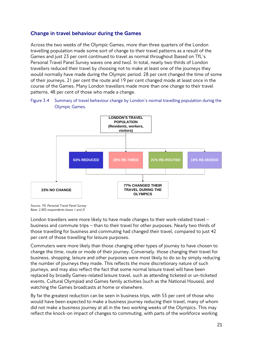# Change in travel behaviour during the Games

Across the two weeks of the Olympic Games, more than three quarters of the London travelling population made some sort of change to their travel patterns as a result of the Games and just 23 per cent continued to travel as normal throughout (based on TfL's Personal Travel Panel Survey waves one and two). In total, nearly two thirds of London travellers reduced their travel by choosing not to make at least one of the journeys they would normally have made during the Olympic period. 28 per cent changed the time of some of their journeys, 21 per cent the route and 19 per cent changed mode at least once in the course of the Games. Many London travellers made more than one change to their travel patterns, 48 per cent of those who made a change.

Figure 3.4 Summary of travel behaviour change by London's normal travelling population during the Olympic Games.



*Source: TfL Personal Travel Panel Survey Base: 2,805 respondents (wave 1 and 2)*

London travellers were more likely to have made changes to their work-related travel – business and commute trips – than to their travel for other purposes. Nearly two thirds of those travelling for business and commuting had changed their travel, compared to just 42 per cent of those travelling for leisure purposes.

Commuters were more likely than those changing other types of journey to have chosen to change the time, route or mode of their journey. Conversely, those changing their travel for business, shopping, leisure and other purposes were most likely to do so by simply reducing the number of journeys they made. This reflects the more discretionary nature of such journeys, and may also reflect the fact that some normal leisure travel will have been replaced by broadly Games-related leisure travel, such as attending ticketed or un-ticketed events, Cultural Olympiad and Games family activities (such as the National Houses), and watching the Games broadcasts at home or elsewhere.

By far the greatest reduction can be seen in business trips, with 55 per cent of those who would have been expected to make a business journey reducing their travel, many of whom did not make a business journey at all in the two working weeks of the Olympics. This may reflect the knock-on impact of changes to commuting, with parts of the workforce working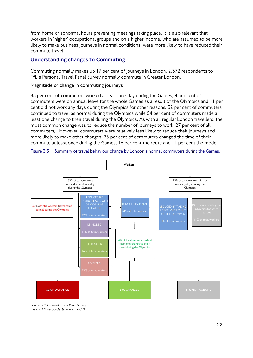from home or abnormal hours preventing meetings taking place. It is also relevant that workers in 'higher' occupational groups and on a higher income, who are assumed to be more likely to make business journeys in normal conditions, were more likely to have reduced their commute travel.

### Understanding changes to Commuting

Commuting normally makes up 17 per cent of journeys in London. 2,372 respondents to TfL's Personal Travel Panel Survey normally commute in Greater London.

### **Magnitude of change in commuting journeys**

85 per cent of commuters worked at least one day during the Games, 4 per cent of commuters were on annual leave for the whole Games as a result of the Olympics and 11 per cent did not work any days during the Olympics for other reasons. 32 per cent of commuters continued to travel as normal during the Olympics while 54 per cent of commuters made a least one change to their travel during the Olympics. As with all regular London travellers, the most common change was to reduce the number of journeys to work (27 per cent of all commuters). However, commuters were relatively less likely to reduce their journeys and more likely to make other changes. 25 per cent of commuters changed the time of their commute at least once during the Games, 16 per cent the route and 11 per cent the mode.





*Source: TfL Personal Travel Panel Survey Base: 2,372 respondents (wave 1 and 2)*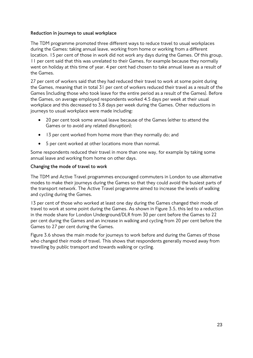### **Reduction in journeys to usual workplace**

The TDM programme promoted three different ways to reduce travel to usual workplaces during the Games: taking annual leave, working from home or working from a different location. 15 per cent of those in work did not work any days during the Games. Of this group, 11 per cent said that this was unrelated to their Games, for example because they normally went on holiday at this time of year. 4 per cent had chosen to take annual leave as a result of the Games.

27 per cent of workers said that they had reduced their travel to work at some point during the Games, meaning that in total 31 per cent of workers reduced their travel as a result of the Games (including those who took leave for the entire period as a result of the Games). Before the Games, on average employed respondents worked 4.5 days per week at their usual workplace and this decreased to 3.8 days per week during the Games. Other reductions in journeys to usual workplace were made including:

- 20 per cent took some annual leave because of the Games (either to attend the Games or to avoid any related disruption);
- 13 per cent worked from home more than they normally do; and
- 5 per cent worked at other locations more than normal.

Some respondents reduced their travel in more than one way, for example by taking some annual leave and working from home on other days.

### **Changing the mode of travel to work**

The TDM and Active Travel programmes encouraged commuters in London to use alternative modes to make their journeys during the Games so that they could avoid the busiest parts of the transport network. The Active Travel programme aimed to increase the levels of walking and cycling during the Games.

13 per cent of those who worked at least one day during the Games changed their mode of travel to work at some point during the Games. As shown in [Figure 3.5,](#page-23-0) this led to a reduction in the mode share for London Underground/DLR from 30 per cent before the Games to 22 per cent during the Games and an increase in walking and cycling from 20 per cent before the Games to 27 per cent during the Games.

<span id="page-23-0"></span>[Figure 3.6](#page-24-0) shows the main mode for journeys to work before and during the Games of those who changed their mode of travel. This shows that respondents generally moved away from travelling by public transport and towards walking or cycling.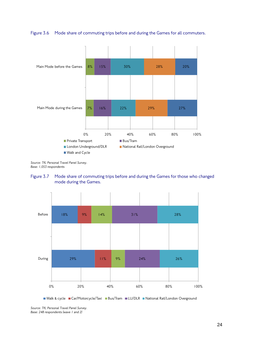



*Source: TfL Personal Travel Panel Survey. Base: 1,053 respondents*

<span id="page-24-0"></span>



■ Walk & cycle ■ Car/Motorcycle/Taxi ■ Bus/Tram ■ LU/DLR ■ National Rail/London Overground

*Source: TfL Personal Travel Panel Survey. Base: 248 respondents (wave 1 and 2)*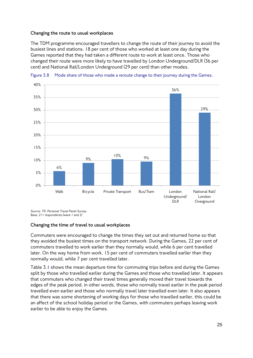### **Changing the route to usual workplaces**

The TDM programme encouraged travellers to change the route of their journey to avoid the busiest lines and stations. 18 per cent of those who worked at least one day during the Games reported that they had taken a different route to work at least once. Those who changed their route were more likely to have travelled by London Underground/DLR (36 per cent) and National Rail/London Underground (29 per cent) than other modes.



Figure 3.8 Mode share of those who made a reroute change to their journey during the Games.

*Source: TfL Personal Travel Panel Survey. Base: 211 respondents (wave 1 and 2)*

### **Changing the time of travel to usual workplaces**

Commuters were encouraged to change the times they set out and returned home so that they avoided the busiest times on the transport network. During the Games, 22 per cent of commuters travelled to work earlier than they normally would, while 6 per cent travelled later. On the way home from work, 15 per cent of commuters travelled earlier than they normally would, while 7 per cent travelled later.

<span id="page-25-0"></span>[Table 3.](#page-25-0)**1** shows the mean departure time for commuting trips before and during the Games split by those who travelled earlier during the Games and those who travelled later. It appears that commuters who changed their travel times generally moved their travel towards the edges of the peak period, in other words, those who normally travel earlier in the peak period travelled even earlier and those who normally travel later travelled even later. It also appears that there was some shortening of working days for those who travelled earlier, this could be an affect of the school holiday period or the Games, with commuters perhaps leaving work earlier to be able to enjoy the Games.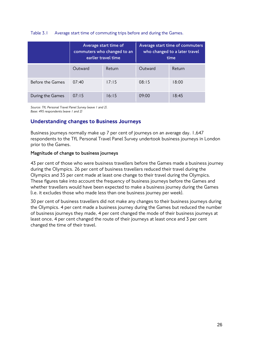### Table 3.1 Average start time of commuting trips before and during the Games.

|                  | Average start time of<br>commuters who changed to an<br>earlier travel time |        | Average start time of commuters<br>who changed to a later travel<br>time |        |
|------------------|-----------------------------------------------------------------------------|--------|--------------------------------------------------------------------------|--------|
|                  | Outward                                                                     | Return | Outward                                                                  | Return |
| Before the Games | 07:40                                                                       | 17:15  | 08:15                                                                    | 18:00  |
| During the Games | 07:15                                                                       | 16:15  | 09:00                                                                    | 18:45  |

*Source: TfL Personal Travel Panel Survey (wave 1 and 2). Base: 495 respondents (wave 1 and 2)*

## Understanding changes to Business Journeys

Business journeys normally make up 7 per cent of journeys on an average day. 1,647 respondents to the TfL Personal Travel Panel Survey undertook business journeys in London prior to the Games.

### **Magnitude of change to business journeys**

43 per cent of those who were business travellers before the Games made a business journey during the Olympics. 26 per cent of business travellers reduced their travel during the Olympics and 35 per cent made at least one change to their travel during the Olympics. These figures take into account the frequency of business journeys before the Games and whether travellers would have been expected to make a business journey during the Games (i.e. it excludes those who made less than one business journey per week).

30 per cent of business travellers did not make any changes to their business journeys during the Olympics. 4 per cent made a business journey during the Games but reduced the number of business journeys they made, 4 per cent changed the mode of their business journeys at least once, 4 per cent changed the route of their journeys at least once and 3 per cent changed the time of their travel.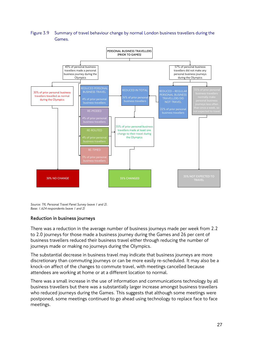Figure 3.9 Summary of travel behaviour change by normal London business travellers during the Games.



*Source: TfL Personal Travel Panel Survey (wave 1 and 2). Base: 1,624 respondents (wave 1 and 2)*

### **Reduction in business journeys**

There was a reduction in the average number of business journeys made per week from 2.2 to 2.0 journeys for those made a business journey during the Games and 26 per cent of business travellers reduced their business travel either through reducing the number of journeys made or making no journeys during the Olympics.

The substantial decrease in business travel may indicate that business journeys are more discretionary than commuting journeys or can be more easily re-scheduled. It may also be a knock-on affect of the changes to commute travel, with meetings cancelled because attendees are working at home or at a different location to normal.

There was a small increase in the use of information and communications technology by all business travellers but there was a substantially larger increase amongst business travellers who reduced journeys during the Games. This suggests that although some meetings were postponed, some meetings continued to go ahead using technology to replace face to face meetings.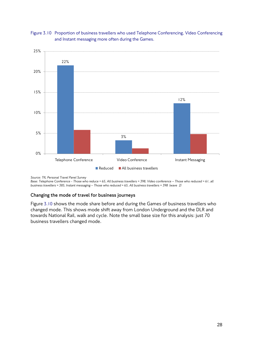



*Source: TfL Personal Travel Panel Survey* 

*Base: Telephone Conference - Those who reduce = 65, All business travellers = 398, Video conference – Those who reduced = 61, all business travellers = 385, Instant messaging – Those who reduced = 65, All business travellers = 398 (wave 2)*

### **Changing the mode of travel for business journeys**

<span id="page-28-0"></span>[Figure](#page-28-0) 3.10 shows the mode share before and during the Games of business travellers who changed mode. This shows mode shift away from London Underground and the DLR and towards National Rail, walk and cycle. Note the small base size for this analysis: just 70 business travellers changed mode.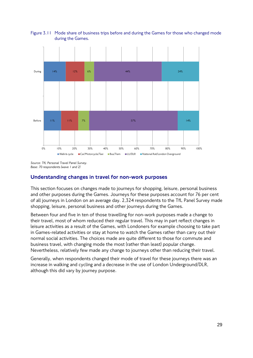

Figure 3.11 Mode share of business trips before and during the Games for those who changed mode during the Games.

*Source: TfL Personal Travel Panel Survey. Base: 70 respondents (wave 1 and 2)*

# Understanding changes in travel for non-work purposes

This section focuses on changes made to journeys for shopping, leisure, personal business and other purposes during the Games. Journeys for these purposes account for 76 per cent of all journeys in London on an average day. 2,324 respondents to the TfL Panel Survey made shopping, leisure, personal business and other journeys during the Games.

Between four and five in ten of those travelling for non-work purposes made a change to their travel, most of whom reduced their regular travel. This may in part reflect changes in leisure activities as a result of the Games, with Londoners for example choosing to take part in Games-related activities or stay at home to watch the Games rather than carry out their normal social activities. The choices made are quite different to those for commute and business travel, with changing mode the most (rather than least) popular change. Nevertheless, relatively few made any change to journeys other than reducing their travel.

Generally, when respondents changed their mode of travel for these journeys there was an increase in walking and cycling and a decrease in the use of London Underground/DLR, although this did vary by journey purpose.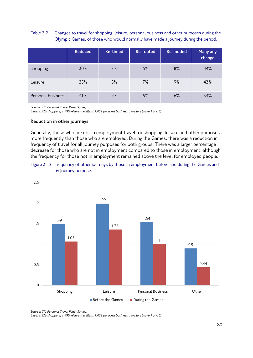### Table 3.2 Changes to travel for shopping, leisure, personal business and other purposes during the Olympic Games, of those who would normally have made a journey during the period.

|                   | <b>Reduced</b> | Re-timed | Re-routed | Re-moded | Many any<br>change |
|-------------------|----------------|----------|-----------|----------|--------------------|
| Shopping          | 30%            | 7%       | 5%        | 8%       | 44%                |
| Leisure           | 25%            | 5%       | 7%        | 9%       | 42%                |
| Personal business | 41%            | 4%       | 6%        | 6%       | 54%                |

*Source: TfL Personal Travel Panel Survey.*

*Base: 1,526 shoppers, 1,790 leisure travellers, 1,052 personal business travellers (wave 1 and 2)*

#### **Reduction in other journeys**

Generally, those who are not in employment travel for shopping, leisure and other purposes more frequently than those who are employed. During the Games, there was a reduction in frequency of travel for all journey purposes for both groups. There was a larger percentage decrease for those who are not in employment compared to those in employment, although the frequency for those not in employment remained above the level for employed people.





*Source: TfL Personal Travel Panel Survey.*

*Base: 1,526 shoppers, 1,790 leisure travellers, 1,052 personal business travellers (wave 1 and 2)*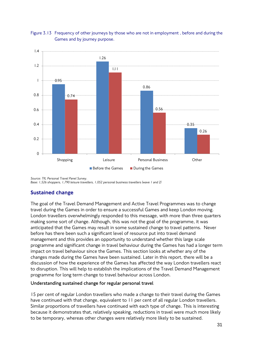### Figure 3.13 Frequency of other journeys by those who are not in employment , before and during the Games and by journey purpose.



*Source: TfL Personal Travel Panel Survey. Base: 1,526 shoppers, 1,790 leisure travellers, 1,052 personal business travellers (wave 1 and 2)*

# Sustained change

The goal of the Travel Demand Management and Active Travel Programmes was to change travel during the Games in order to ensure a successful Games and keep London moving. London travellers overwhelmingly responded to this message, with more than three quarters making some sort of change. Although, this was not the goal of the programme, it was anticipated that the Games may result in some sustained change to travel patterns. Never before has there been such a significant level of resource put into travel demand management and this provides an opportunity to understand whether this large scale programme and significant change in travel behaviour during the Games has had a longer term impact on travel behaviour since the Games. This section looks at whether any of the changes made during the Games have been sustained. Later in this report, there will be a discussion of how the experience of the Games has affected the way London travellers react to disruption. This will help to establish the implications of the Travel Demand Management programme for long term change to travel behaviour across London.

### **Understanding sustained change for regular personal travel**

15 per cent of regular London travellers who made a change to their travel during the Games have continued with that change, equivalent to 11 per cent of all regular London travellers. Similar proportions of travellers have continued with each type of change. This is interesting because it demonstrates that, relatively speaking, reductions in travel were much more likely to be temporary, whereas other changes were relatively more likely to be sustained.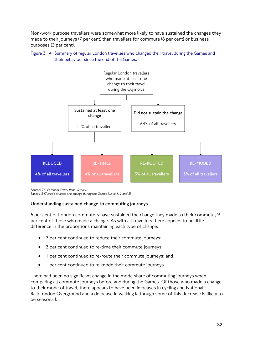Non-work purpose travellers were somewhat more likely to have sustained the changes they made to their journeys (7 per cent) than travellers for commute (6 per cent) or business purposes (3 per cent).





*Source: TfL Personal Travel Panel Survey. Base: 1,347 made at least one change during the Games (wave 1, 2 and 3)*

### **Understanding sustained change to commuting journeys**

6 per cent of London commuters have sustained the change they made to their commute, 9 per cent of those who made a change. As with all travellers there appears to be little difference in the proportions maintaining each type of change:

- 2 per cent continued to reduce their commute journeys;
- 2 per cent continued to re-time their commute journeys;
- 1 per cent continued to re-route their commute journeys; and
- 1 per cent continued to re-mode their commute journeys.

There had been no significant change in the mode share of commuting journeys when comparing all commute journeys before and during the Games. Of those who made a change to their mode of travel, there appears to have been increases in cycling and National Rail/London Overground and a decrease in walking (although some of this decrease is likely to be seasonal).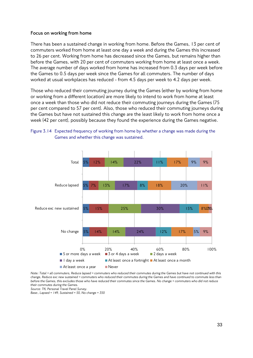#### **Focus on working from home**

There has been a sustained change in working from home. Before the Games, 13 per cent of commuters worked from home at least one day a week and during the Games this increased to 26 per cent. Working from home has decreased since the Games, but remains higher than before the Games, with 20 per cent of commuters working from home at least once a week. The average number of days worked from home has increased from 0.3 days per week before the Games to 0.5 days per week since the Games for all commuters. The number of days worked at usual workplaces has reduced - from 4.5 days per week to 4.2 days per week.

Those who reduced their commuting journey during the Games (either by working from home or working from a different location) are more likely to intend to work from home at least once a week than those who did not reduce their commuting journeys during the Games (75 per cent compared to 57 per cent). Also, those who reduced their commuting journeys during the Games but have not sustained this change are the least likely to work from home once a week (42 per cent), possibly because they found the experience during the Games negative.



Figure 3.14 Expected frequency of working from home by whether a change was made during the Games and whether this change was sustained.

*Note: Total = all commuters, Reduce lapsed = commuters who reduced their commutes during the Games but have not continued with this change, Reduce exc new sustained = commuters who reduced their commutes during the Games and have continued to commute less than before the Games, this excludes those who have reduced their commutes since the Games. No change = commuters who did not reduce their commutes during the Games. Source: TfL Personal Travel Panel Survey.*

*Base:, Lapsed = 149, Sustained = 50, No change = 350*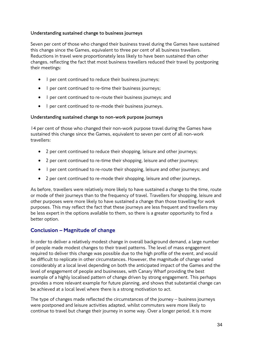### **Understanding sustained change to business journeys**

Seven per cent of those who changed their business travel during the Games have sustained this change since the Games, equivalent to three per cent of all business travellers. Reductions in travel were proportionately less likely to have been sustained than other changes, reflecting the fact that most business travellers reduced their travel by postponing their meetings:

- 1 per cent continued to reduce their business journeys;
- 1 per cent continued to re-time their business journeys;
- 1 per cent continued to re-route their business journeys; and
- 1 per cent continued to re-mode their business journeys.

### **Understanding sustained change to non-work purpose journeys**

14 per cent of those who changed their non-work purpose travel during the Games have sustained this change since the Games, equivalent to seven per cent of all non-work travellers:

- 2 per cent continued to reduce their shopping, leisure and other journeys;
- 2 per cent continued to re-time their shopping, leisure and other journeys;
- 1 per cent continued to re-route their shopping, leisure and other journeys; and
- 2 per cent continued to re-mode their shopping, leisure and other journeys.

As before, travellers were relatively more likely to have sustained a change to the time, route or mode of their journeys than to the frequency of travel. Travellers for shopping, leisure and other purposes were more likely to have sustained a change than those travelling for work purposes. This may reflect the fact that these journeys are less frequent and travellers may be less expert in the options available to them, so there is a greater opportunity to find a better option.

## Conclusion – Magnitude of change

In order to deliver a relatively modest change in overall background demand, a large number of people made modest changes to their travel patterns. The level of mass engagement required to deliver this change was possible due to the high profile of the event, and would be difficult to replicate in other circumstances. However, the magnitude of change varied considerably at a local level depending on both the anticipated impact of the Games and the level of engagement of people and businesses, with Canary Wharf providing the best example of a highly localised pattern of change driven by strong engagement. This perhaps provides a more relevant example for future planning, and shows that substantial change can be achieved at a local level where there is a strong motivation to act.

The type of changes made reflected the circumstances of the journey – business journeys were postponed and leisure activities adapted, whilst commuters were more likely to continue to travel but change their journey in some way. Over a longer period, it is more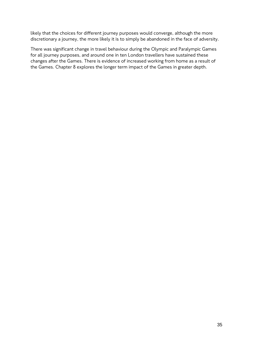likely that the choices for different journey purposes would converge, although the more discretionary a journey, the more likely it is to simply be abandoned in the face of adversity.

There was significant change in travel behaviour during the Olympic and Paralympic Games for all journey purposes, and around one in ten London travellers have sustained these changes after the Games. There is evidence of increased working from home as a result of the Games. Chapter 8 explores the longer term impact of the Games in greater depth.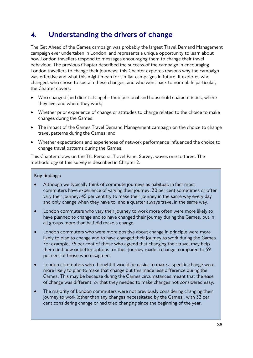# 4. Understanding the drivers of change

The Get Ahead of the Games campaign was probably the largest Travel Demand Management campaign ever undertaken in London, and represents a unique opportunity to learn about how London travellers respond to messages encouraging them to change their travel behaviour. The previous Chapter described the success of the campaign in encouraging London travellers to change their journeys; this Chapter explores reasons why the campaign was effective and what this might mean for similar campaigns in future. It explores who changed, who chose to sustain these changes, and who went back to normal. In particular, the Chapter covers:

- Who changed (and didn't change) their personal and household characteristics, where they live, and where they work;
- Whether prior experience of change or attitudes to change related to the choice to make changes during the Games;
- The impact of the Games Travel Demand Management campaign on the choice to change travel patterns during the Games; and
- Whether expectations and experiences of network performance influenced the choice to change travel patterns during the Games.

This Chapter draws on the TfL Personal Travel Panel Survey, waves one to three. The methodology of this survey is described in Chapter 2.

# **Key findings:**

- Although we typically think of commute journeys as habitual, in fact most commuters have experience of varying their journey: 30 per cent sometimes or often vary their journey, 45 per cent try to make their journey in the same way every day and only change when they have to, and a quarter always travel in the same way.
- London commuters who vary their journey to work more often were more likely to have planned to change and to have changed their journey during the Games, but in all groups more than half did make a change.
- London commuters who were more positive about change in principle were more likely to plan to change and to have changed their journey to work during the Games. For example, 75 per cent of those who agreed that changing their travel may help them find new or better options for their journey made a change, compared to 59 per cent of those who disagreed.
- London commuters who thought it would be easier to make a specific change were more likely to plan to make that change but this made less difference during the Games. This may be because during the Games circumstances meant that the ease of change was different, or that they needed to make changes not considered easy.
- The majority of London commuters were not previously considering changing their journey to work (other than any changes necessitated by the Games), with 32 per cent considering change or had tried changing since the beginning of the year.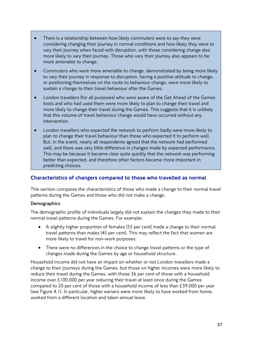- There is a relationship between how likely commuters were to say they were considering changing their journey in normal conditions and how likely they were to vary their journey when faced with disruption, with those considering change also more likely to vary their journey. Those who vary their journey also appears to be more amenable to change.
- Commuters who were more amenable to change, demonstrated by being more likely to vary their journey in response to disruption, having a positive attitude to change, or positioning themselves on the route to behaviour change, were more likely to sustain a change to their travel behaviour after the Games.
- London travellers (for all purposes) who were aware of the Get Ahead of the Games tools and who had used them were more likely to plan to change their travel and more likely to change their travel during the Games. This suggests that it is unlikely that this volume of travel behaviour change would have occurred without any intervention.
- London travellers who expected the network to perform badly were more likely to plan to change their travel behaviour than those who expected it to perform well. But, in the event, nearly all respondents agreed that the network had performed well, and there was very little difference in changes made by expected performance. This may be because it became clear quite quickly that the network was performing better than expected, and therefore other factors became more important in predicting choices.

# Characteristics of changers compared to those who travelled as normal

This section compares the characteristics of those who made a change to their normal travel patterns during the Games and those who did not make a change.

## **Demographics**

The demographic profile of individuals largely did not explain the changes they made to their normal travel patterns during the Games. For example:

- A slightly higher proportion of females (55 per cent) made a change to their normal travel patterns than males (45 per cent). This may reflect the fact that women are more likely to travel for non-work purposes.
- There were no differences in the choice to change travel patterns or the type of changes made during the Games by age or household structure.

Household income did not have an impact on whether or not London travellers made a change to their journeys during the Games, but those on higher incomes were more likely to reduce their travel during the Games, with those 36 per cent of those with a household income over £100,000 per year reducing their travel at least once during the Games compared to 20 per cent of those with a household income of less than £39,000 per year (see Figure 4.1). In particular, higher earners were more likely to have worked from home, worked from a different location and taken annual leave.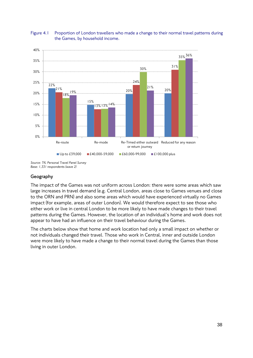#### Figure 4.1 Proportion of London travellers who made a change to their normal travel patterns during the Games, by household income.



*Source: TfL Personal Travel Panel Survey Base: 1,331 respondents (wave 2)*

# **Geography**

The impact of the Games was not uniform across London: there were some areas which saw large increases in travel demand (e.g. Central London, areas close to Games venues and close to the ORN and PRN) and also some areas which would have experienced virtually no Games impact (for example, areas of outer London). We would therefore expect to see those who either work or live in central London to be more likely to have made changes to their travel patterns during the Games. However, the location of an individual's home and work does not appear to have had an influence on their travel behaviour during the Games.

The charts below show that home and work location had only a small impact on whether or not individuals changed their travel. Those who work in Central, inner and outside London were more likely to have made a change to their normal travel during the Games than those living in outer London.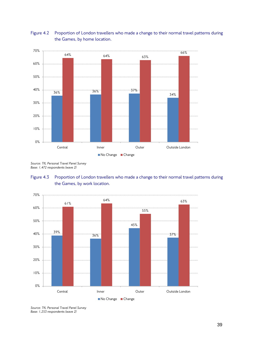# Figure 4.2 Proportion of London travellers who made a change to their normal travel patterns during the Games, by home location.



*Source: TfL Personal Travel Panel Survey Base: 1,472 respondents (wave 2)*





*Source: TfL Personal Travel Panel Survey Base: 1,253 respondents (wave 2)*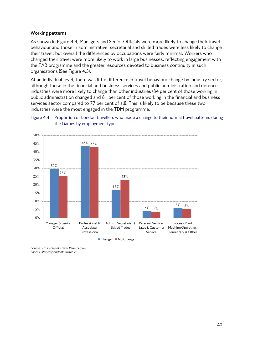## **Working patterns**

As shown in Figure 4.4, Managers and Senior Officials were more likely to change their travel behaviour and those in administrative, secretarial and skilled trades were less likely to change their travel, but overall the differences by occupations were fairly minimal. Workers who changed their travel were more likely to work in large businesses, reflecting engagement with the TAB programme and the greater resources devoted to business continuity in such organisations (See Figure 4.5).

At an individual level, there was little difference in travel behaviour change by industry sector, although those in the financial and business services and public administration and defence industries were more likely to change than other industries (84 per cent of those working in public administration changed and 81 per cent of those working in the financial and business services sector compared to 77 per cent of all). This is likely to be because these two industries were the most engaged in the TDM programme.



Figure 4.4 Proportion of London travellers who made a change to their normal travel patterns during the Games by employment type.

*Source: TfL Personal Travel Panel Survey Base: 1,494 respondents (wave 2)*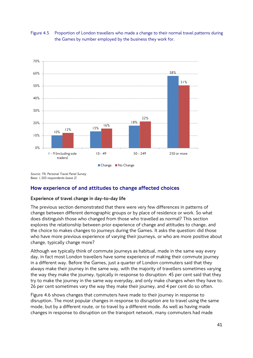



*Source: TfL Personal Travel Panel Survey Base: 1,505 respondents (wave 2)*

# How experience of and attitudes to change affected choices

# **Experience of travel change in day-to-day life**

The previous section demonstrated that there were very few differences in patterns of change between different demographic groups or by place of residence or work. So what does distinguish those who changed from those who travelled as normal? This section explores the relationship between prior experience of change and attitudes to change, and the choice to makes changes to journeys during the Games. It asks the question: did those who have more previous experience of varying their journeys, or who are more positive about change, typically change more?

Although we typically think of commute journeys as habitual, made in the same way every day, in fact most London travellers have some experience of making their commute journey in a different way. Before the Games, just a quarter of London commuters said that they always make their journey in the same way, with the majority of travellers sometimes varying the way they make the journey, typically in response to disruption: 45 per cent said that they try to make the journey in the same way everyday, and only make changes when they have to. 26 per cent sometimes vary the way they make their journey, and 4 per cent do so often.

Figure 4.6 shows changes that commuters have made to their journey in response to disruption. The most popular changes in response to disruption are to travel using the same mode, but by a different route, or to travel by a different mode. As well as having made changes in response to disruption on the transport network, many commuters had made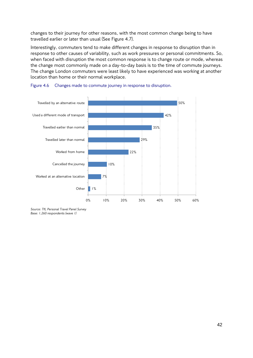changes to their journey for other reasons, with the most common change being to have travelled earlier or later than usual (See Figure 4.7).

Interestingly, commuters tend to make different changes in response to disruption than in response to other causes of variability, such as work pressures or personal commitments. So, when faced with disruption the most common response is to change route or mode, whereas the change most commonly made on a day-to-day basis is to the time of commute journeys. The change London commuters were least likely to have experienced was working at another location than home or their normal workplace.





*Source: TfL Personal Travel Panel Survey Base: 1,260 respondents (wave 1)*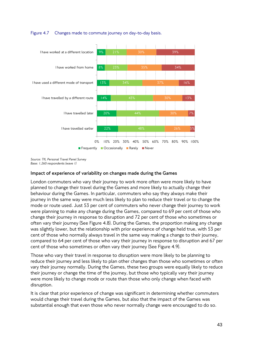

## Figure 4.7 Changes made to commute journey on day-to-day basis.

*Source: TfL Personal Travel Panel Survey Base: 1,260 respondents (wave 1)*

# **Impact of experience of variability on changes made during the Games**

London commuters who vary their journey to work more often were more likely to have planned to change their travel during the Games and more likely to actually change their behaviour during the Games. In particular, commuters who say they always make their journey in the same way were much less likely to plan to reduce their travel or to change the mode or route used. Just 53 per cent of commuters who never change their journey to work were planning to make any change during the Games, compared to 69 per cent of those who change their journey in response to disruption and 72 per cent of those who sometimes or often vary their journey (See Figure 4.8). During the Games, the proportion making any change was slightly lower, but the relationship with prior experience of change held true, with 53 per cent of those who normally always travel in the same way making a change to their journey, compared to 64 per cent of those who vary their journey in response to disruption and 67 per cent of those who sometimes or often vary their journey (See Figure 4.9).

Those who vary their travel in response to disruption were more likely to be planning to reduce their journey and less likely to plan other changes than those who sometimes or often vary their journey normally. During the Games, these two groups were equally likely to reduce their journey or change the time of the journey, but those who typically vary their journey were more likely to change mode or route than those who only change when faced with disruption.

It is clear that prior experience of change was significant in determining whether commuters would change their travel during the Games, but also that the impact of the Games was substantial enough that even those who never normally change were encouraged to do so.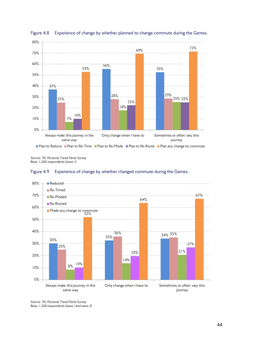



*Source: TfL Personal Travel Panel Survey Base: 1,260 respondents (wave 1)*





*Source: TfL Personal Travel Panel Survey Base: 1,260 respondents (wave 1and wave 2)*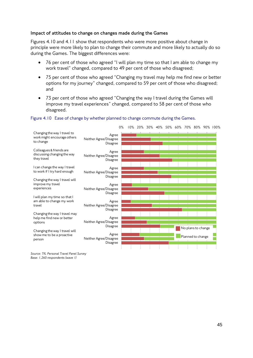## **Impact of attitudes to change on changes made during the Games**

Figures 4.10 and 4.11 show that respondents who were more positive about change in principle were more likely to plan to change their commute and more likely to actually do so during the Games. The biggest differences were:

- 76 per cent of those who agreed "I will plan my time so that I am able to change my work travel" changed, compared to 49 per cent of those who disagreed;
- 75 per cent of those who agreed "Changing my travel may help me find new or better options for my journey" changed, compared to 59 per cent of those who disagreed; and
- 73 per cent of those who agreed "Changing the way I travel during the Games will improve my travel experiences" changed, compared to 58 per cent of those who disagreed.

#### Figure 4.10 Ease of change by whether planned to change commute during the Games.



*Source: TfL Personal Travel Panel Survey Base: 1,260 respondents (wave 1)*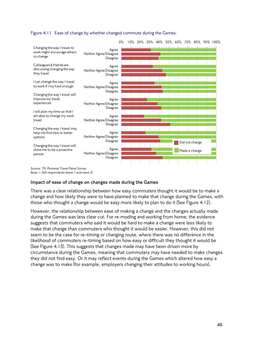



*Source: TfL Personal Travel Panel Survey Base: 1,260 respondents (wave 1 and wave 2)*

## **Impact of ease of change on changes made during the Games**

There was a clear relationship between how easy commuters thought it would be to make a change and how likely they were to have planned to make that change during the Games, with those who thought a change would be easy more likely to plan to do it (See Figure 4.12).

However, the relationship between ease of making a change and the changes actually made during the Games was less clear cut. For re-moding and working from home, the evidence suggests that commuters who said it would be hard to make a change were less likely to make that change than commuters who thought it would be easier. However, this did not seem to be the case for re-timing or changing route, where there was no difference in the likelihood of commuters re-timing based on how easy or difficult they thought it would be (See Figure 4.13). This suggests that changes made may have been driven more by circumstance during the Games, meaning that commuters may have needed to make changes they did not find easy. Or it may reflect events during the Games which altered how easy a change was to make (for example, employers changing their attitudes to working hours).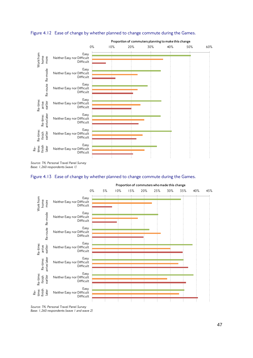

Figure 4.12 Ease of change by whether planned to change commute during the Games.

*Source: TfL Personal Travel Panel Survey Base: 1,260 respondents (wave 1)*





*Source: TfL Personal Travel Panel Survey Base: 1,260 respondents (wave 1 and wave 2)*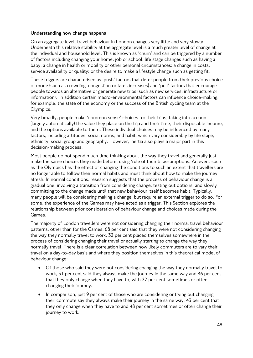## **Understanding how change happens**

On an aggregate level, travel behaviour in London changes very little and very slowly. Underneath this relative stability at the aggregate level is a much greater level of change at the individual and household level. This is known as 'churn' and can be triggered by a number of factors including changing your home, job or school; life stage changes such as having a baby; a change in health or mobility or other personal circumstances; a change in costs, service availability or quality; or the desire to make a lifestyle change such as getting fit.

These triggers are characterised as 'push' factors that deter people from their previous choice of mode (such as crowding, congestion or fares increases) and 'pull' factors that encourage people towards an alternative or generate new trips (such as new services, infrastructure or information). In addition certain macro-environmental factors can influence choice-making, for example, the state of the economy or the success of the British cycling team at the Olympics.

Very broadly, people make 'common sense' choices for their trips, taking into account (largely automatically) the value they place on the trip and their time, their disposable income, and the options available to them. These individual choices may be influenced by many factors, including attitudes, social norms, and habit, which vary considerably by life stage, ethnicity, social group and geography. However, inertia also plays a major part in this decision-making process.

Most people do not spend much time thinking about the way they travel and generally just make the same choices they made before, using 'rule of thumb' assumptions. An event such as the Olympics has the effect of changing the conditions to such an extent that travellers are no longer able to follow their normal habits and must think about how to make the journey afresh. In normal conditions, research suggests that the process of behaviour change is a gradual one, involving a transition from considering change, testing out options, and slowly committing to the change made until that new behaviour itself becomes habit. Typically, many people will be considering making a change, but require an external trigger to do so. For some, the experience of the Games may have acted as a trigger. This Section explores the relationship between prior consideration of behaviour change and choices made during the Games.

The majority of London travellers were not considering changing their normal travel behaviour patterns, other than for the Games. 68 per cent said that they were not considering changing the way they normally travel to work. 32 per cent placed themselves somewhere in the process of considering changing their travel or actually starting to change the way they normally travel. There is a clear correlation between how likely commuters are to vary their travel on a day-to-day basis and where they position themselves in this theoretical model of behaviour change:

- Of those who said they were not considering changing the way they normally travel to work, 31 per cent said they always make the journey in the same way and 46 per cent that they only change when they have to, with 22 per cent sometimes or often changing their journey.
- In comparison, just 9 per cent of those who are considering or trying out changing their commute say they always make their journey in the same way, 43 per cent that they only change when they have to and 48 per cent sometimes or often change their journey to work.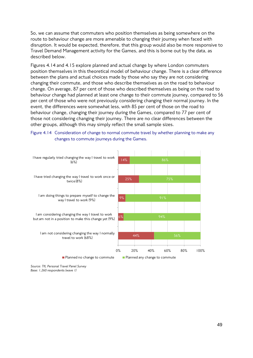So, we can assume that commuters who position themselves as being somewhere on the route to behaviour change are more amenable to changing their journey when faced with disruption. It would be expected, therefore, that this group would also be more responsive to Travel Demand Management activity for the Games, and this is borne out by the data, as described below.

Figures 4.14 and 4.15 explore planned and actual change by where London commuters position themselves in this theoretical model of behaviour change. There is a clear difference between the plans and actual choices made by those who say they are not considering changing their commute, and those who describe themselves as on the road to behaviour change. On average, 87 per cent of those who described themselves as being on the road to behaviour change had planned at least one change to their commute journey, compared to 56 per cent of those who were not previously considering changing their normal journey. In the event, the differences were somewhat less, with 85 per cent of those on the road to behaviour change, changing their journey during the Games, compared to 77 per cent of those not considering changing their journey. There are no clear differences between the other groups, although this may simply reflect the small sample sizes.



Figure 4.14 Consideration of change to normal commute travel by whether planning to make any changes to commute journeys during the Games.

*Source: TfL Personal Travel Panel Survey Base: 1,260 respondents (wave 1)*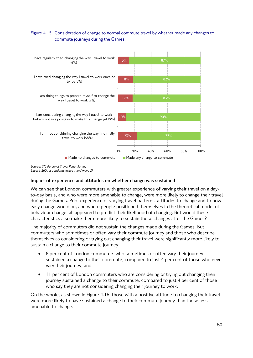# Figure 4.15 Consideration of change to normal commute travel by whether made any changes to commute journeys during the Games.



*Source: TfL Personal Travel Panel Survey Base: 1,260 respondents (wave 1 and wave 2)*

# **Impact of experience and attitudes on whether change was sustained**

We can see that London commuters with greater experience of varying their travel on a dayto-day basis, and who were more amenable to change, were more likely to change their travel during the Games. Prior experience of varying travel patterns, attitudes to change and to how easy change would be, and where people positioned themselves in the theoretical model of behaviour change, all appeared to predict their likelihood of changing. But would these characteristics also make them more likely to sustain those changes after the Games?

The majority of commuters did not sustain the changes made during the Games. But commuters who sometimes or often vary their commute journey and those who describe themselves as considering or trying out changing their travel were significantly more likely to sustain a change to their commute journey:

- 8 per cent of London commuters who sometimes or often vary their journey sustained a change to their commute, compared to just 4 per cent of those who never vary their journey; and
- 11 per cent of London commuters who are considering or trying out changing their journey sustained a change to their commute, compared to just 4 per cent of those who say they are not considering changing their journey to work.

On the whole, as shown in Figure 4.16, those with a positive attitude to changing their travel were more likely to have sustained a change to their commute journey than those less amenable to change.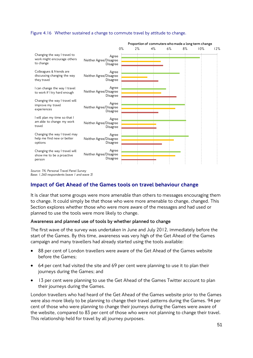#### Figure 4.16 Whether sustained a change to commute travel by attitude to change.



*Source: TfL Personal Travel Panel Survey Base: 1,260 respondents (wave 1 and wave 3)*

# Impact of Get Ahead of the Games tools on travel behaviour change

It is clear that some groups were more amenable than others to messages encouraging them to change. It could simply be that those who were more amenable to change, changed. This Section explores whether those who were more aware of the messages and had used or planned to use the tools were more likely to change.

## **Awareness and planned use of tools by whether planned to change**

The first wave of the survey was undertaken in June and July 2012, immediately before the start of the Games. By this time, awareness was very high of the Get Ahead of the Games campaign and many travellers had already started using the tools available:

- 88 per cent of London travellers were aware of the Get Ahead of the Games website before the Games;
- 64 per cent had visited the site and 69 per cent were planning to use it to plan their journeys during the Games; and
- 13 per cent were planning to use the Get Ahead of the Games Twitter account to plan their journeys during the Games.

London travellers who had heard of the Get Ahead of the Games website prior to the Games were also more likely to be planning to change their travel patterns during the Games. 94 per cent of those who were planning to change their journeys during the Games were aware of the website, compared to 83 per cent of those who were not planning to change their travel. This relationship held for travel by all journey purposes.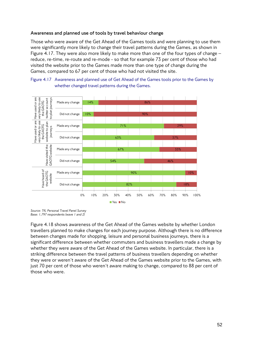# **Awareness and planned use of tools by travel behaviour change**

Those who were aware of the Get Ahead of the Games tools and were planning to use them were significantly more likely to change their travel patterns during the Games, as shown in Figure 4.17. They were also more likely to make more than one of the four types of change – reduce, re-time, re-route and re-mode - so that for example 73 per cent of those who had visited the website prior to the Games made more than one type of change during the Games, compared to 67 per cent of those who had not visited the site.





Figure 4.18 shows awareness of the Get Ahead of the Games website by whether London travellers planned to make changes for each journey purpose. Although there is no difference between changes made for shopping, leisure and personal business journeys, there is a significant difference between whether commuters and business travellers made a change by whether they were aware of the Get Ahead of the Games website. In particular, there is a striking difference between the travel patterns of business travellers depending on whether they were or weren't aware of the Get Ahead of the Games website prior to the Games, with just 70 per cent of those who weren't aware making to change, compared to 88 per cent of those who were.

*Source: TfL Personal Travel Panel Survey Base: 1,797 respondents (wave 1 and 2)*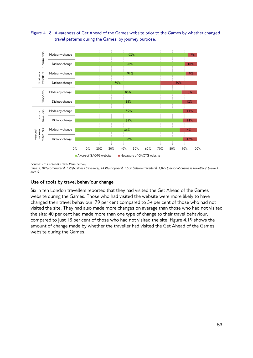Figure 4.18 Awareness of Get Ahead of the Games website prior to the Games by whether changed travel patterns during the Games, by journey purpose.



*Source: TfL Personal Travel Panel Survey* 

*Base: 1,309 (commuters), 738 (business travellers), 1438 (shoppers), 1,508 (leisure travellers), 1,072 (personal business travellers) (wave 1 and 2)*

# **Use of tools by travel behaviour change**

Six in ten London travellers reported that they had visited the Get Ahead of the Games website during the Games. Those who had visited the website were more likely to have changed their travel behaviour, 79 per cent compared to 54 per cent of those who had not visited the site. They had also made more changes on average than those who had not visited the site: 40 per cent had made more than one type of change to their travel behaviour, compared to just 18 per cent of those who had not visited the site. Figure 4.19 shows the amount of change made by whether the traveller had visited the Get Ahead of the Games website during the Games.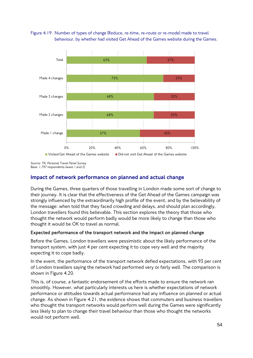



*Source: TfL Personal Travel Panel Survey Base: 1,797 respondents (wave 1 and 2)*

# Impact of network performance on planned and actual change

During the Games, three quarters of those travelling in London made some sort of change to their journey. It is clear that the effectiveness of the Get Ahead of the Games campaign was strongly influenced by the extraordinarily high profile of the event, and by the believability of the message: when told that they faced crowding and delays, and should plan accordingly, London travellers found this believable. This section explores the theory that those who thought the network would perform badly would be more likely to change than those who thought it would be OK to travel as normal.

## **Expected performance of the transport network and the impact on planned change**

Before the Games, London travellers were pessimistic about the likely performance of the transport system, with just 4 per cent expecting it to cope very well and the majority expecting it to cope badly.

In the event, the performance of the transport network defied expectations, with 93 per cent of London travellers saying the network had performed very or fairly well. The comparison is shown in Figure 4.20.

This is, of course, a fantastic endorsement of the efforts made to ensure the network ran smoothly. However, what particularly interests us here is whether expectations of network performance or attitudes towards actual performance had any influence on planned or actual change. As shown in Figure 4.21, the evidence shows that commuters and business travellers who thought the transport networks would perform well during the Games were significantly less likely to plan to change their travel behaviour than those who thought the networks would not perform well.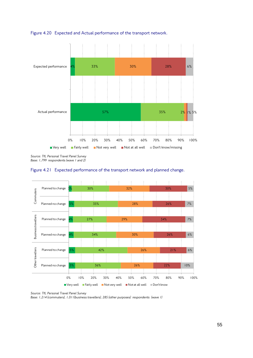

Figure 4.20 Expected and Actual performance of the transport network.

*Source: TfL Personal Travel Panel Survey Base: 1,799 respondents (wave 1 and 2)*





*Source: TfL Personal Travel Panel Survey* 

*Base: 1,214 (commuters), 1,011(business travellers), 285 (other purposes) respondents (wave 1)*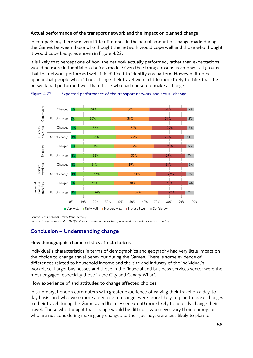# **Actual performance of the transport network and the impact on planned change**

In comparison, there was very little difference in the actual amount of change made during the Games between those who thought the network would cope well and those who thought it would cope badly, as shown in Figure 4.22.

It is likely that perceptions of how the network actually performed, rather than expectations, would be more influential on choices made. Given the strong consensus amongst all groups that the network performed well, it is difficult to identify any pattern. However, it does appear that people who did not change their travel were a little more likely to think that the network had performed well than those who had chosen to make a change.



Figure 4.22 Expected performance of the transport network and actual change.

*Source: TfL Personal Travel Panel Survey* 

*Base: 1,214 (commuters), 1,011(business travellers), 285 (other purposes) respondents (wave 1 and 2)*

# Conclusion – Understanding change

## **How demographic characteristics affect choices**

Individual's characteristics in terms of demographics and geography had very little impact on the choice to change travel behaviour during the Games. There is some evidence of differences related to household income and the size and industry of the individual's workplace. Larger businesses and those in the financial and business services sector were the most engaged, especially those in the City and Canary Wharf.

## **How experience of and attitudes to change affected choices**

In summary, London commuters with greater experience of varying their travel on a day-today basis, and who were more amenable to change, were more likely to plan to make changes to their travel during the Games, and (to a lesser extent) more likely to actually change their travel. Those who thought that change would be difficult, who never vary their journey, or who are not considering making any changes to their journey, were less likely to plan to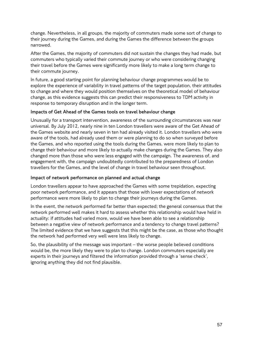change. Nevertheless, in all groups, the majority of commuters made some sort of change to their journey during the Games, and during the Games the difference between the groups narrowed.

After the Games, the majority of commuters did not sustain the changes they had made, but commuters who typically varied their commute journey or who were considering changing their travel before the Games were significantly more likely to make a long term change to their commute journey.

In future, a good starting point for planning behaviour change programmes would be to explore the experience of variability in travel patterns of the target population, their attitudes to change and where they would position themselves on the theoretical model of behaviour change, as this evidence suggests this can predict their responsiveness to TDM activity in response to temporary disruption and in the longer term.

# **Impacts of Get Ahead of the Games tools on travel behaviour change**

Unusually for a transport intervention, awareness of the surrounding circumstances was near universal. By July 2012, nearly nine in ten London travellers were aware of the Get Ahead of the Games website and nearly seven in ten had already visited it. London travellers who were aware of the tools, had already used them or were planning to do so when surveyed before the Games, and who reported using the tools during the Games, were more likely to plan to change their behaviour and more likely to actually make changes during the Games. They also changed more than those who were less engaged with the campaign. The awareness of, and engagement with, the campaign undoubtedly contributed to the preparedness of London travellers for the Games, and the level of change in travel behaviour seen throughout.

# **Impact of network performance on planned and actual change**

London travellers appear to have approached the Games with some trepidation, expecting poor network performance, and it appears that those with lower expectations of network performance were more likely to plan to change their journeys during the Games.

In the event, the network performed far better than expected; the general consensus that the network performed well makes it hard to assess whether this relationship would have held in actuality: if attitudes had varied more, would we have been able to see a relationship between a negative view of network performance and a tendency to change travel patterns? The limited evidence that we have suggests that this might be the case, as those who thought the network had performed very well were less likely to change.

So, the plausibility of the message was important – the worse people believed conditions would be, the more likely they were to plan to change. London commuters especially are experts in their journeys and filtered the information provided through a 'sense check', ignoring anything they did not find plausible.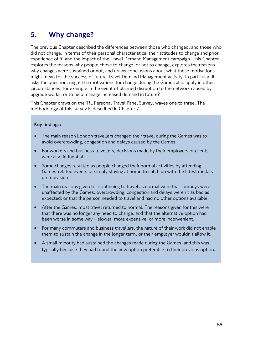# 5. Why change?

The previous Chapter described the differences between those who changed, and those who did not change, in terms of their personal characteristics, their attitudes to change and prior experience of it, and the impact of the Travel Demand Management campaign. This Chapter explores the reasons why people chose to change, or not to change, explores the reasons why changes were sustained or not, and draws conclusions about what these motivations might mean for the success of future Travel Demand Management activity. In particular, it asks the question: might the motivations for change during the Games also apply in other circumstances, for example in the event of planned disruption to the network caused by upgrade works, or to help manage increased demand in future?

This Chapter draws on the TfL Personal Travel Panel Survey, waves one to three. The methodology of this survey is described in Chapter 2.

# **Key findings:**

- The main reason London travellers changed their travel during the Games was to avoid overcrowding, congestion and delays caused by the Games.
- For workers and business travellers, decisions made by their employers or clients were also influential.
- Some changes resulted as people changed their normal activities by attending Games-related events or simply staying at home to catch up with the latest medals on television!
- The main reasons given for continuing to travel as normal were that journeys were unaffected by the Games; overcrowding, congestion and delays weren't as bad as expected; or that the person needed to travel and had no other options available.
- After the Games, most travel returned to normal. The reasons given for this were that there was no longer any need to change, and that the alternative option had been worse in some way – slower, more expensive, or more inconvenient.
- For many commuters and business travellers, the nature of their work did not enable them to sustain the change in the longer term, or their employer wouldn't allow it.
- A small minority had sustained the changes made during the Games, and this was typically because they had found the new option preferable to their previous option.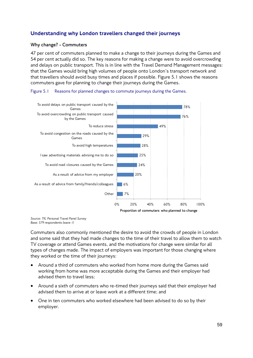# Understanding why London travellers changed their journeys

## **Why change? - Commuters**

47 per cent of commuters planned to make a change to their journeys during the Games and 54 per cent actually did so. The key reasons for making a change were to avoid overcrowding and delays on public transport. This is in line with the Travel Demand Management messages: that the Games would bring high volumes of people onto London's transport network and that travellers should avoid busy times and places if possible. Figure 5.1 shows the reasons commuters gave for planning to change their journeys during the Games.





*Source: TfL Personal Travel Panel Survey Base: 579 respondents (wave 1)*

Commuters also commonly mentioned the desire to avoid the crowds of people in London and some said that they had made changes to the time of their travel to allow them to watch TV coverage or attend Games events, and the motivations for change were similar for all types of changes made. The impact of employers was important for those changing where they worked or the time of their journeys:

- Around a third of commuters who worked from home more during the Games said working from home was more acceptable during the Games and their employer had advised them to travel less;
- Around a sixth of commuters who re-timed their journeys said that their employer had advised them to arrive at or leave work at a different time; and
- One in ten commuters who worked elsewhere had been advised to do so by their employer.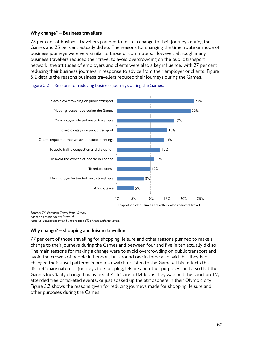# **Why change? – Business travellers**

73 per cent of business travellers planned to make a change to their journeys during the Games and 35 per cent actually did so. The reasons for changing the time, route or mode of business journeys were very similar to those of commuters. However, although many business travellers reduced their travel to avoid overcrowding on the public transport network, the attitudes of employers and clients were also a key influence, with 27 per cent reducing their business journeys in response to advice from their employer or clients. Figure 5.2 details the reasons business travellers reduced their journeys during the Games.





*Source: TfL Personal Travel Panel Survey Base: 474 respondents (wave 2) Note: all responses given by more than 5% of respondents listed.*

## **Why change? – shopping and leisure travellers**

77 per cent of those travelling for shopping, leisure and other reasons planned to make a change to their journeys during the Games and between four and five in ten actually did so. The main reasons for making a change were to avoid overcrowding on public transport and avoid the crowds of people in London, but around one in three also said that they had changed their travel patterns in order to watch or listen to the Games. This reflects the discretionary nature of journeys for shopping, leisure and other purposes, and also that the Games inevitably changed many people's leisure activities as they watched the sport on TV, attended free or ticketed events, or just soaked up the atmosphere in their Olympic city. Figure 5.3 shows the reasons given for reducing journeys made for shopping, leisure and other purposes during the Games.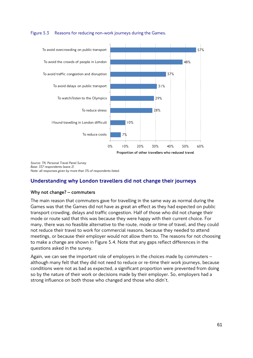## Figure 5.3 Reasons for reducing non-work journeys during the Games.



*Source: TfL Personal Travel Panel Survey Base: 337 respondents (wave 2) Note: all responses given by more than 5% of respondents listed.*

# Understanding why London travellers did not change their journeys

## **Why not change? – commuters**

The main reason that commuters gave for travelling in the same way as normal during the Games was that the Games did not have as great an effect as they had expected on public transport crowding, delays and traffic congestion. Half of those who did not change their mode or route said that this was because they were happy with their current choice. For many, there was no feasible alternative to the route, mode or time of travel, and they could not reduce their travel to work for commercial reasons, because they needed to attend meetings, or because their employer would not allow them to. The reasons for not choosing to make a change are shown in Figure 5.4. Note that any gaps reflect differences in the questions asked in the survey.

Again, we can see the important role of employers in the choices made by commuters – although many felt that they did not need to reduce or re-time their work journeys, because conditions were not as bad as expected, a significant proportion were prevented from doing so by the nature of their work or decisions made by their employer. So, employers had a strong influence on both those who changed and those who didn't.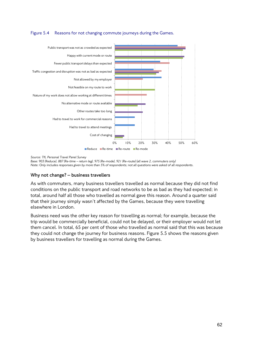## Figure 5.4 Reasons for not changing commute journeys during the Games.



*Source: TfL Personal Travel Panel Survey* 

*Base: 903 (Reduce), 887 (Re-time – return leg), 975 (Re-mode), 921 (Re-route) (all wave 2, commuters only)*

*Note: Only includes responses given by more than 5% of respondents; not all questions were asked of all respondents.*

## **Why not change? – business travellers**

As with commuters, many business travellers travelled as normal because they did not find conditions on the public transport and road networks to be as bad as they had expected; in total, around half all those who travelled as normal gave this reason. Around a quarter said that their journey simply wasn't affected by the Games, because they were travelling elsewhere in London.

Business need was the other key reason for travelling as normal; for example, because the trip would be commercially beneficial, could not be delayed, or their employer would not let them cancel. In total, 65 per cent of those who travelled as normal said that this was because they could not change the journey for business reasons. Figure 5.5 shows the reasons given by business travellers for travelling as normal during the Games.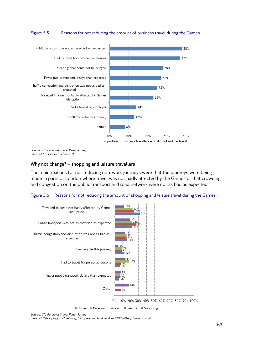## Figure 5.5 Reasons for not reducing the amount of business travel during the Games.



*Source: TfL Personal Travel Panel Survey Base: 417 respondents (wave 2)*

# **Why not change? – shopping and leisure travellers**

The main reasons for not reducing non-work journeys were that the journeys were being made in parts of London where travel was not badly affected by the Games or that crowding and congestion on the public transport and road network were not as bad as expected.

#### Figure 5.6 Reasons for not reducing the amount of shopping and leisure travel during the Games.



*Source: TfL Personal Travel Panel Survey* 

*Base: 767(shopping), 952 (leisure), 541 (personal business) and 199 (other) (wave 2 only)*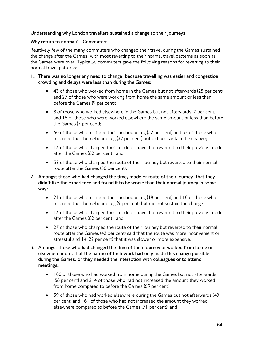# **Understanding why London travellers sustained a change to their journeys**

# **Why return to normal? – Commuters**

Relatively few of the many commuters who changed their travel during the Games sustained the change after the Games, with most reverting to their normal travel patterns as soon as the Games were over. Typically, commuters gave the following reasons for reverting to their normal travel patterns:

- **1. There was no longer any need to change, because travelling was easier and congestion, crowding and delays were less than during the Games:**
	- 43 of those who worked from home in the Games but not afterwards (25 per cent) and 27 of those who were working from home the same amount or less than before the Games (9 per cent);
	- 8 of those who worked elsewhere in the Games but not afterwards (7 per cent) and 15 of those who were worked elsewhere the same amount or less than before the Games (7 per cent);
	- 60 of those who re-timed their outbound leg (52 per cent) and 37 of those who re-timed their homebound leg (32 per cent) but did not sustain the change;
	- 13 of those who changed their mode of travel but reverted to their previous mode after the Games (62 per cent); and
	- 32 of those who changed the route of their journey but reverted to their normal route after the Games (50 per cent).
- **2. Amongst those who had changed the time, mode or route of their journey, that they didn't like the experience and found it to be worse than their normal journey in some way:**
	- 21 of those who re-timed their outbound leg (18 per cent) and 10 of those who re-timed their homebound leg (9 per cent) but did not sustain the change;
	- 13 of those who changed their mode of travel but reverted to their previous mode after the Games (62 per cent); and
	- 27 of those who changed the route of their journey but reverted to their normal route after the Games (42 per cent) said that the route was more inconvenient or stressful and 14 (22 per cent) that it was slower or more expensive.
- **3. Amongst those who had changed the time of their journey or worked from home or elsewhere more, that the nature of their work had only made this change possible during the Games, or they needed the interaction with colleagues or to attend meetings:**
	- 100 of those who had worked from home during the Games but not afterwards (58 per cent) and 214 of those who had not increased the amount they worked from home compared to before the Games (69 per cent);
	- 59 of those who had worked elsewhere during the Games but not afterwards (49 per cent) and 161 of those who had not increased the amount they worked elsewhere compared to before the Games (71 per cent); and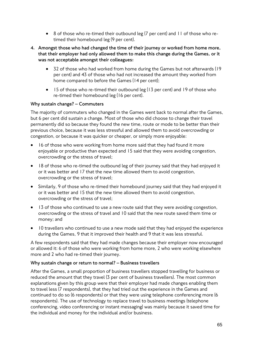• 8 of those who re-timed their outbound leg (7 per cent) and 11 of those who retimed their homebound leg (9 per cent).

# **4. Amongst those who had changed the time of their journey or worked from home more, that their employer had only allowed them to make this change during the Games, or it was not acceptable amongst their colleagues:**

- 32 of those who had worked from home during the Games but not afterwards (19 per cent) and 43 of those who had not increased the amount they worked from home compared to before the Games (14 per cent);
- 15 of those who re-timed their outbound leg (13 per cent) and 19 of those who re-timed their homebound leg (16 per cent).

# **Why sustain change? – Commuters**

The majority of commuters who changed in the Games went back to normal after the Games, but 6 per cent did sustain a change. Most of those who did choose to change their travel permanently did so because they found the new time, route or mode to be better than their previous choice, because it was less stressful and allowed them to avoid overcrowding or congestion, or because it was quicker or cheaper, or simply more enjoyable:

- 16 of those who were working from home more said that they had found it more enjoyable or productive than expected and 15 said that they were avoiding congestion, overcrowding or the stress of travel;
- 18 of those who re-timed the outbound leg of their journey said that they had enjoyed it or it was better and 17 that the new time allowed them to avoid congestion, overcrowding or the stress of travel;
- Similarly, 9 of those who re-timed their homebound journey said that they had enjoyed it or it was better and 15 that the new time allowed them to avoid congestion, overcrowding or the stress of travel;
- 13 of those who continued to use a new route said that they were avoiding congestion, overcrowding or the stress of travel and 10 said that the new route saved them time or money; and
- 10 travellers who continued to use a new mode said that they had enjoyed the experience during the Games, 9 that it improved their health and 9 that it was less stressful.

A few respondents said that they had made changes because their employer now encouraged or allowed it: 6 of those who were working from home more, 2 who were working elsewhere more and 2 who had re-timed their journey.

## **Why sustain change or return to normal? – Business travellers**

After the Games, a small proportion of business travellers stopped travelling for business or reduced the amount that they travel (3 per cent of business travellers). The most common explanations given by this group were that their employer had made changes enabling them to travel less (7 respondents), that they had tried out the experience in the Games and continued to do so (6 respondents) or that they were using telephone conferencing more (6 respondents). The use of technology to replace travel to business meetings (telephone conferencing, video conferencing or instant messaging) was mainly because it saved time for the individual and money for the individual and/or business.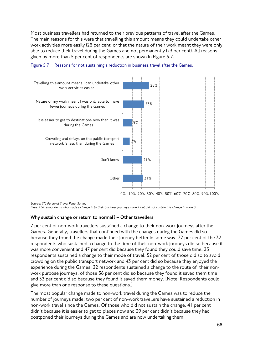Most business travellers had returned to their previous patterns of travel after the Games. The main reasons for this were that travelling this amount means they could undertake other work activities more easily (28 per cent) or that the nature of their work meant they were only able to reduce their travel during the Games and not permanently (23 per cent). All reasons given by more than 5 per cent of respondents are shown in Figure 5.7.





*Source: TfL Personal Travel Panel Survey* 

*Base: 256 respondents who made a change in to their business journeys wave 2 but did not sustain this change in wave 3*

## **Why sustain change or return to normal? – Other travellers**

7 per cent of non-work travellers sustained a change to their non-work journeys after the Games. Generally, travellers that continued with the changes during the Games did so because they found the change made their journey better in some way. 72 per cent of the 32 respondents who sustained a change to the time of their non-work journeys did so because it was more convenient and 47 per cent did because they found they could save time. 23 respondents sustained a change to their mode of travel, 52 per cent of those did so to avoid crowding on the public transport network and 43 per cent did so because they enjoyed the experience during the Games. 22 respondents sustained a change to the route of their nonwork purpose journeys, of those 36 per cent did so because they found it saved them time and 32 per cent did so because they found it saved them money. [Note: Respondents could give more than one response to these questions.]

The most popular change made to non-work travel during the Games was to reduce the number of journeys made; two per cent of non-work travellers have sustained a reduction in non-work travel since the Games. Of those who did not sustain the change, 41 per cent didn't because it is easier to get to places now and 39 per cent didn't because they had postponed their journeys during the Games and are now undertaking them.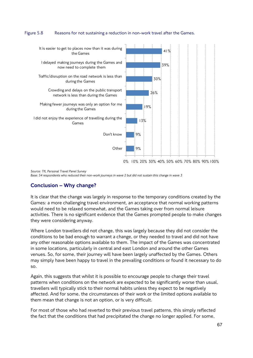#### Figure 5.8 Reasons for not sustaining a reduction in non-work travel after the Games.



*Source: TfL Personal Travel Panel Survey* 

*Base: 54 respondents who reduced their non-work journeys in wave 2 but did not sustain this change in wave 3*

# Conclusion – Why change?

It is clear that the change was largely in response to the temporary conditions created by the Games: a more challenging travel environment, an acceptance that normal working patterns would need to be relaxed somewhat, and the Games taking over from normal leisure activities. There is no significant evidence that the Games prompted people to make changes they were considering anyway.

Where London travellers did not change, this was largely because they did not consider the conditions to be bad enough to warrant a change, or they needed to travel and did not have any other reasonable options available to them. The impact of the Games was concentrated in some locations, particularly in central and east London and around the other Games venues. So, for some, their journey will have been largely unaffected by the Games. Others may simply have been happy to travel in the prevailing conditions or found it necessary to do so.

Again, this suggests that whilst it is possible to encourage people to change their travel patterns when conditions on the network are expected to be significantly worse than usual, travellers will typically stick to their normal habits unless they expect to be negatively affected. And for some, the circumstances of their work or the limited options available to them mean that change is not an option, or is very difficult.

For most of those who had reverted to their previous travel patterns, this simply reflected the fact that the conditions that had precipitated the change no longer applied. For some,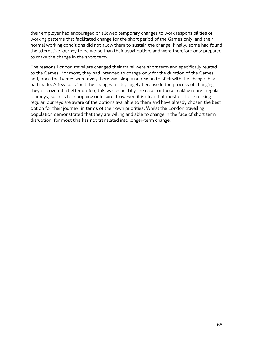their employer had encouraged or allowed temporary changes to work responsibilities or working patterns that facilitated change for the short period of the Games only, and their normal working conditions did not allow them to sustain the change. Finally, some had found the alternative journey to be worse than their usual option, and were therefore only prepared to make the change in the short term.

The reasons London travellers changed their travel were short term and specifically related to the Games. For most, they had intended to change only for the duration of the Games and, once the Games were over, there was simply no reason to stick with the change they had made. A few sustained the changes made, largely because in the process of changing they discovered a better option; this was especially the case for those making more irregular journeys, such as for shopping or leisure. However, it is clear that most of those making regular journeys are aware of the options available to them and have already chosen the best option for their journey, in terms of their own priorities. Whilst the London travelling population demonstrated that they are willing and able to change in the face of short term disruption, for most this has not translated into longer-term change.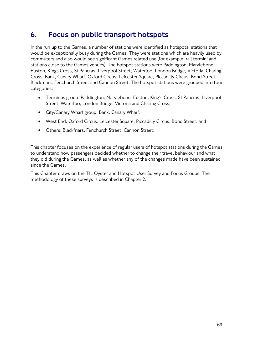# 6. Focus on public transport hotspots

In the run up to the Games, a number of stations were identified as hotspots: stations that would be exceptionally busy during the Games. They were stations which are heavily used by commuters and also would see significant Games related use (for example, rail termini and stations close to the Games venues). The hotspot stations were Paddington, Marylebone, Euston, Kings Cross, St Pancras, Liverpool Street, Waterloo, London Bridge, Victoria, Charing Cross, Bank, Canary Wharf, Oxford Circus, Leicester Square, Piccadilly Circus, Bond Street, Blackfriars, Fenchurch Street and Cannon Street. The hotspot stations were grouped into four categories:

- Terminus group: Paddington, Marylebone, Euston, King's Cross, St Pancras, Liverpool Street, Waterloo, London Bridge, Victoria and Charing Cross;
- City/Canary Wharf group: Bank, Canary Wharf;
- West End: Oxford Circus, Leicester Square, Piccadilly Circus, Bond Street; and
- Others: Blackfriars, Fenchurch Street, Cannon Street.

This chapter focuses on the experience of regular users of hotspot stations during the Games to understand how passengers decided whether to change their travel behaviour and what they did during the Games, as well as whether any of the changes made have been sustained since the Games.

This Chapter draws on the TfL Oyster and Hotspot User Survey and Focus Groups. The methodology of these surveys is described in Chapter 2.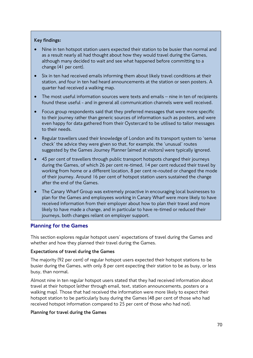# **Key findings:**

- Nine in ten hotspot station users expected their station to be busier than normal and as a result nearly all had thought about how they would travel during the Games, although many decided to wait and see what happened before committing to a change (41 per cent).
- Six in ten had received emails informing them about likely travel conditions at their station, and four in ten had heard announcements at the station or seen posters. A quarter had received a walking map.
- The most useful information sources were texts and emails nine in ten of recipients found these useful - and in general all communication channels were well received.
- Focus group respondents said that they preferred messages that were more specific to their journey rather than generic sources of information such as posters, and were even happy for data gathered from their Oystercard to be utilised to tailor messages to their needs.
- Regular travellers used their knowledge of London and its transport system to 'sense check' the advice they were given so that, for example, the 'unusual' routes suggested by the Games Journey Planner (aimed at visitors) were typically ignored.
- 43 per cent of travellers through public transport hotspots changed their journeys during the Games, of which 26 per cent re-timed, 14 per cent reduced their travel by working from home or a different location, 8 per cent re-routed or changed the mode of their journey. Around 16 per cent of hotspot station users sustained the change after the end of the Games.
- The Canary Wharf Group was extremely proactive in encouraging local businesses to plan for the Games and employees working in Canary Wharf were more likely to have received information from their employer about how to plan their travel and more likely to have made a change, and in particular to have re-timed or reduced their journeys, both changes reliant on employer support.

# Planning for the Games

This section explores regular hotspot users' expectations of travel during the Games and whether and how they planned their travel during the Games.

## **Expectations of travel during the Games**

The majority (92 per cent) of regular hotspot users expected their hotspot stations to be busier during the Games, with only 8 per cent expecting their station to be as busy, or less busy, than normal.

Almost nine in ten regular hotspot users stated that they had received information about travel at their hotspot (either through email, text, station announcements, posters or a walking map). Those that had received the information were more likely to expect their hotspot station to be particularly busy during the Games (48 per cent of those who had received hotspot information compared to 25 per cent of those who had not).

## **Planning for travel during the Games**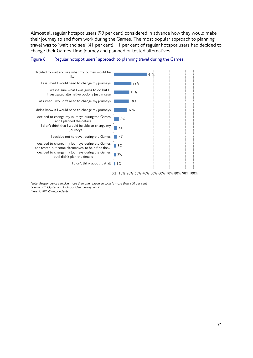Almost all regular hotspot users (99 per cent) considered in advance how they would make their journey to and from work during the Games. The most popular approach to planning travel was to 'wait and see' (41 per cent). 11 per cent of regular hotspot users had decided to change their Games-time journey and planned or tested alternatives.



#### Figure 6.1 Regular hotspot users' approach to planning travel during the Games.

*Note: Respondents can give more than one reason so total is more than 100 per cent Source: TfL Oyster and Hotspot User Survey 2012 Base: 2,709 all respondents*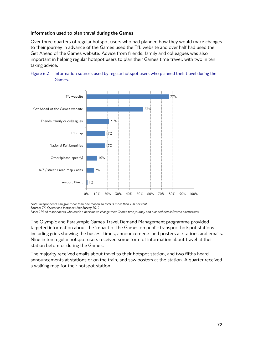#### **Information used to plan travel during the Games**

Over three quarters of regular hotspot users who had planned how they would make changes to their journey in advance of the Games used the TfL website and over half had used the Get Ahead of the Games website. Advice from friends, family and colleagues was also important in helping regular hotspot users to plan their Games time travel, with two in ten taking advice.





*Note: Respondents can give more than one reason so total is more than 100 per cent Source: TfL Oyster and Hotspot User Survey 2012*

*Base: 229 all respondents who made a decision to change their Games time journey and planned details/tested alternatives*

The Olympic and Paralympic Games Travel Demand Management programme provided targeted information about the impact of the Games on public transport hotspot stations including grids showing the busiest times, announcements and posters at stations and emails. Nine in ten regular hotspot users received some form of information about travel at their station before or during the Games.

The majority received emails about travel to their hotspot station, and two fifths heard announcements at stations or on the train, and saw posters at the station. A quarter received a walking map for their hotspot station.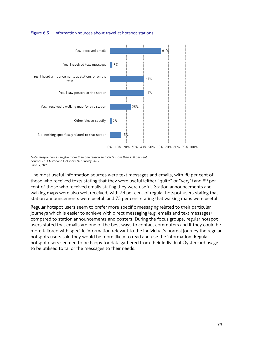#### Figure 6.3 Information sources about travel at hotspot stations.



*Note: Respondents can give more than one reason so total is more than 100 per cent Source: TfL Oyster and Hotspot User Survey 2012 Base: 2,709*

The most useful information sources were text messages and emails, with 90 per cent of those who received texts stating that they were useful (either "quite" or "very") and 89 per cent of those who received emails stating they were useful. Station announcements and walking maps were also well received, with 74 per cent of regular hotspot users stating that station announcements were useful, and 75 per cent stating that walking maps were useful.

Regular hotspot users seem to prefer more specific messaging related to their particular journeys which is easier to achieve with direct messaging (e.g. emails and text messages) compared to station announcements and posters. During the focus groups, regular hotspot users stated that emails are one of the best ways to contact commuters and if they could be more tailored with specific information relevant to the individual's normal journey the regular hotspots users said they would be more likely to read and use the information. Regular hotspot users seemed to be happy for data gathered from their individual Oystercard usage to be utilised to tailor the messages to their needs.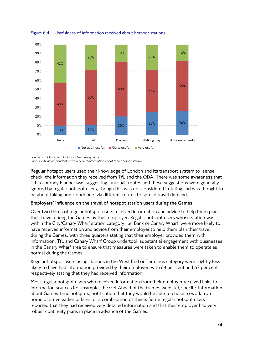

Figure 6.4 Usefulness of information received about hotspot stations.

*Source: TfL Oyster and Hotspot User Survey 2012 Base: 1,642 all respondents who received information about their hotspot station*

Regular hotspot users used their knowledge of London and its transport system to 'sense check' the information they received from TfL and the ODA. There was some awareness that TfL's Journey Planner was suggesting 'unusual' routes and these suggestions were generally ignored by regular hotspot users, though this was not considered irritating and was thought to be about taking non-Londoners via different routes to spread travel demand.

## **Employers' influence on the travel of hotspot station users during the Games**

Over two thirds of regular hotspot users received information and advice to help them plan their travel during the Games by their employer. Regular hotspot users whose station was within the City/Canary Wharf station category (i.e. Bank or Canary Wharf) were more likely to have received information and advice from their employer to help them plan their travel during the Games, with three quarters stating that their employer provided them with information. TfL and Canary Wharf Group undertook substantial engagement with businesses in the Canary Wharf area to ensure that measures were taken to enable them to operate as normal during the Games.

Regular hotspot users using stations in the West End or Terminus category were slightly less likely to have had information provided by their employer, with 64 per cent and 67 per cent respectively stating that they had received information.

Most regular hotspot users who received information from their employer received links to information sources (for example, the Get Ahead of the Games website), specific information about Games-time hotspots, notification that they would be able to chose to work from home or arrive earlier or later, or a combination of these. Some regular hotspot users reported that they had received very detailed information and that their employer had very robust continuity plans in place in advance of the Games.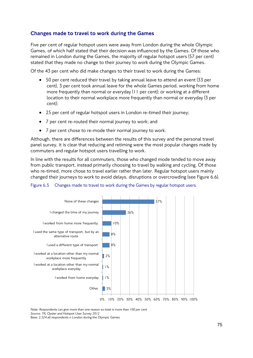# Changes made to travel to work during the Games

Five per cent of regular hotspot users were away from London during the whole Olympic Games, of which half stated that their decision was influenced by the Games. Of those who remained in London during the Games, the majority of regular hotspot users (57 per cent) stated that they made no change to their journey to work during the Olympic Games.

Of the 43 per cent who did make changes to their travel to work during the Games:

- 50 per cent reduced their travel by taking annual leave to attend an event (33 per cent), 3 per cent took annual leave for the whole Games period, working from home more frequently than normal or everyday (11 per cent); or working at a different location to their normal workplace more frequently than normal or everyday (3 per cent);
- 25 per cent of regular hotspot users in London re-timed their journey;
- 7 per cent re-routed their normal journey to work; and
- 7 per cent chose to re-mode their normal journey to work.

Although, there are differences between the results of this survey and the personal travel panel survey, it is clear that reducing and retiming were the most popular changes made by commuters and regular hotspot users travelling to work.

In line with the results for all commuters, those who changed mode tended to move away from public transport, instead primarily choosing to travel by walking and cycling. Of those who re-timed, more chose to travel earlier rather than later. Regular hotspot users mainly changed their journeys to work to avoid delays, disruptions or overcrowding (see Figure 6.6).





*Note: Respondents can give more than one reason so total is more than 100 per cent*

*Source: TfL Oyster and Hotspot User Survey 2012*

*Base: 2,524 all respondents n London during the Olympic Games*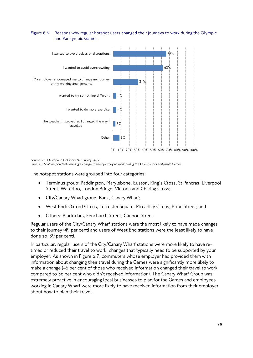#### Figure 6.6 Reasons why regular hotspot users changed their journeys to work during the Olympic and Paralympic Games.



*Source: TfL Oyster and Hotspot User Survey 2012*

*Base: 1,227 all respondents making a change to their journey to work during the Olympic or Paralympic Games*

The hotspot stations were grouped into four categories:

- Terminus group: Paddington, Marylebone, Euston, King's Cross, St Pancras, Liverpool Street, Waterloo, London Bridge, Victoria and Charing Cross;
- City/Canary Wharf group: Bank, Canary Wharf;
- West End: Oxford Circus, Leicester Square, Piccadilly Circus, Bond Street; and
- Others: Blackfriars, Fenchurch Street, Cannon Street.

Regular users of the City/Canary Wharf stations were the most likely to have made changes to their journey (49 per cent) and users of West End stations were the least likely to have done so (39 per cent).

In particular, regular users of the City/Canary Wharf stations were more likely to have retimed or reduced their travel to work, changes that typically need to be supported by your employer. As shown in Figure 6.7, commuters whose employer had provided them with information about changing their travel during the Games were significantly more likely to make a change (46 per cent of those who received information changed their travel to work compared to 36 per cent who didn't received information). The Canary Wharf Group was extremely proactive in encouraging local businesses to plan for the Games and employees working in Canary Wharf were more likely to have received information from their employer about how to plan their travel.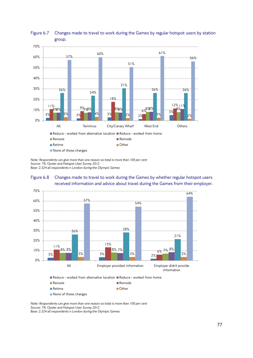

## Figure 6.7 Changes made to travel to work during the Games by regular hotspot users by station group.

*Note: Respondents can give more than one reason so total is more than 100 per cent Source: TfL Oyster and Hotspot User Survey 2012 Base: 2,524 all respondents n London during the Olympic Games*





*Note: Respondents can give more than one reason so total is more than 100 per cent Source: TfL Oyster and Hotspot User Survey 2012 Base: 2,524 all respondents n London during the Olympic Games*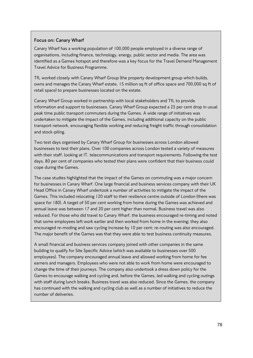## **Focus on: Canary Wharf**

Canary Wharf has a working population of 100,000 people employed in a diverse range of organisations, including finance, technology, energy, public sector and media. The area was identified as a Games hotspot and therefore was a key focus for the Travel Demand Management Travel Advice for Business Programme.

TfL worked closely with Canary Wharf Group (the property development group which builds, owns and manages the Canary Wharf estate, 15 million sq ft of office space and 700,000 sq ft of retail space) to prepare businesses located on the estate.

Canary Wharf Group worked in partnership with local stakeholders and TfL to provide information and support to businesses. Canary Wharf Group expected a 25 per cent drop in usual peak time public transport commuters during the Games. A wide range of initiatives was undertaken to mitigate the impact of the Games, including additional capacity on the public transport network, encouraging flexible working and reducing freight traffic through consolidation and stock-piling.

Two test days organised by Canary Wharf Group for businesses across London allowed businesses to test their plans. Over 100 companies across London tested a variety of measures with their staff, looking at IT, telecommunications and transport requirements. Following the test days, 80 per cent of companies who tested their plans were confident that their business could cope during the Games.

The case studies highlighted that the impact of the Games on commuting was a major concern for businesses in Canary Wharf. One large financial and business services company with their UK Head Office in Canary Wharf undertook a number of activities to mitigate the impact of the Games. This included relocating 120 staff to their resilience centre outside of London (there was space for 180). A target of 50 per cent working from home during the Games was achieved and annual leave was between 17 and 20 per cent higher than normal. Business travel was also reduced. For those who did travel to Canary Wharf, the business encouraged re-timing and noted that some employees left work earlier and then worked from home in the evening; they also encouraged re-moding and saw cycling increase by 10 per cent; re-routing was also encouraged. The major benefit of the Games was that they were able to test business continuity measures.

A small financial and business services company joined with other companies in the same building to qualify for Site Specific Advice (which was available to businesses over 500 employees). The company encouraged annual leave and allowed working from home for fee earners and managers. Employees who were not able to work from home were encouraged to change the time of their journeys. The company also undertook a dress down policy for the Games to encourage walking and cycling and, before the Games, led walking and cycling outings with staff during lunch breaks. Business travel was also reduced. Since the Games, the company has continued with the walking and cycling club as well as a number of initiatives to reduce the number of deliveries.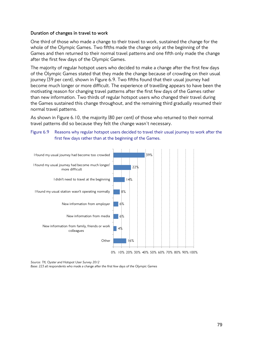#### **Duration of changes in travel to work**

One third of those who made a change to their travel to work, sustained the change for the whole of the Olympic Games. Two fifths made the change only at the beginning of the Games and then returned to their normal travel patterns and one fifth only made the change after the first few days of the Olympic Games.

The majority of regular hotspot users who decided to make a change after the first few days of the Olympic Games stated that they made the change because of crowding on their usual journey (39 per cent), shown in Figure 6.9. Two fifths found that their usual journey had become much longer or more difficult. The experience of travelling appears to have been the motivating reason for changing travel patterns after the first few days of the Games rather than new information. Two thirds of regular hotspot users who changed their travel during the Games sustained this change throughout, and the remaining third gradually resumed their normal travel patterns.

As shown in Figure 6.10, the majority (80 per cent) of those who returned to their normal travel patterns did so because they felt the change wasn't necessary.

#### Figure 6.9 Reasons why regular hotspot users decided to travel their usual journey to work after the first few days rather than at the beginning of the Games.



*Source: TfL Oyster and Hotspot User Survey 2012*

*Base: 223 all respondents who made a change after the first few days of the Olympic Games*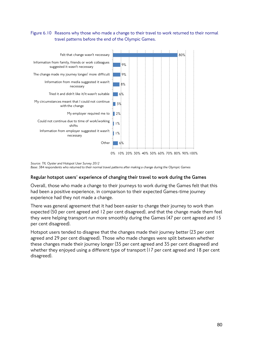## Figure 6.10 Reasons why those who made a change to their travel to work returned to their normal travel patterns before the end of the Olympic Games.



*Source: TfL Oyster and Hotspot User Survey 2012 Base: 384 respondents who returned to their normal travel patterns after making a change during the Olympic Games*

## **Regular hotspot users' experience of changing their travel to work during the Games**

Overall, those who made a change to their journeys to work during the Games felt that this had been a positive experience, in comparison to their expected Games-time journey experience had they not made a change.

There was general agreement that it had been easier to change their journey to work than expected (50 per cent agreed and 12 per cent disagreed), and that the change made them feel they were helping transport run more smoothly during the Games (47 per cent agreed and 15 per cent disagreed).

Hotspot users tended to disagree that the changes made their journey better (23 per cent agreed and 29 per cent disagreed). Those who made changes were split between whether these changes made their journey longer (35 per cent agreed and 35 per cent disagreed) and whether they enjoyed using a different type of transport (17 per cent agreed and 18 per cent disagreed).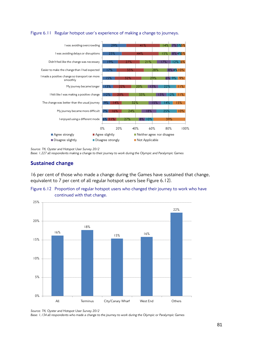

Figure 6.11 Regular hotspot user's experience of making a change to journeys.

*Source: TfL Oyster and Hotspot User Survey 2012*

*Base: 1,227 all respondents making a change to their journey to work during the Olympic and Paralympic Games*

■ Disagree slightly Not Applicable

Agree strongly **Agree slightly** Agree Slightly **Neither agree nor disagree** 

## Sustained change

16 per cent of those who made a change during the Games have sustained that change, equivalent to 7 per cent of all regular hotspot users (see Figure 6.12).

0% 20% 40% 60% 80% 100%





*Source: TfL Oyster and Hotspot User Survey 2012*

*Base: 1,134 all respondents who made a change to the journey to work during the Olympic or Paralympic Games*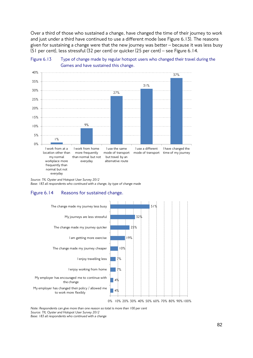Over a third of those who sustained a change, have changed the time of their journey to work and just under a third have continued to use a different mode (see Figure 6.13). The reasons given for sustaining a change were that the new journey was better – because it was less busy (51 per cent), less stressful (32 per cent) or quicker (25 per cent) – see Figure 6.14.





*Source: TfL Oyster and Hotspot User Survey 2012*

*Base: 183 all respondents who continued with a change, by type of change made*

## Figure 6.14 Reasons for sustained change.



*Note: Respondents can give more than one reason so total is more than 100 per cent Source: TfL Oyster and Hotspot User Survey 2012*

*Base: 183 all respondents who continued with a change*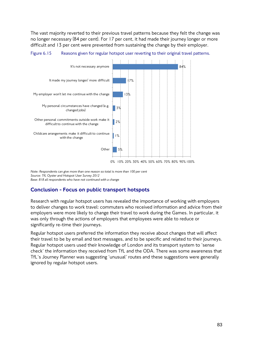The vast majority reverted to their previous travel patterns because they felt the change was no longer necessary (84 per cent). For 17 per cent, it had made their journey longer or more difficult and 13 per cent were prevented from sustaining the change by their employer.

Figure 6.15 Reasons given for regular hotspot user reverting to their original travel patterns.



*Note: Respondents can give more than one reason so total is more than 100 per cent Source: TfL Oyster and Hotspot User Survey 2012 Base: 818 all respondents who have not continued with a change*

# Conclusion - Focus on public transport hotspots

Research with regular hotspot users has revealed the importance of working with employers to deliver changes to work travel: commuters who received information and advice from their employers were more likely to change their travel to work during the Games. In particular, it was only through the actions of employers that employees were able to reduce or significantly re-time their journeys.

Regular hotspot users preferred the information they receive about changes that will affect their travel to be by email and text messages, and to be specific and related to their journeys. Regular hotspot users used their knowledge of London and its transport system to 'sense check' the information they received from TfL and the ODA. There was some awareness that TfL's Journey Planner was suggesting 'unusual' routes and these suggestions were generally ignored by regular hotspot users.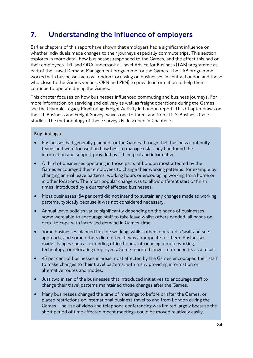# 7. Understanding the influence of employers

Earlier chapters of this report have shown that employers had a significant influence on whether individuals made changes to their journeys especially commute trips. This section explores in more detail how businesses responded to the Games, and the effect this had on their employees. TfL and ODA undertook a Travel Advice for Business (TAB) programme as part of the Travel Demand Management programme for the Games. The TAB programme worked with businesses across London (focussing on businesses in central London and those who close to the Games venues, ORN and PRN) to provide information to help them continue to operate during the Games.

This chapter focuses on how businesses influenced commuting and business journeys. For more information on servicing and delivery as well as freight operations during the Games, see the Olympic Legacy Monitoring: Freight Activity in London report. This Chapter draws on the TfL Business and Freight Survey, waves one to three, and from TfL's Business Case Studies. The methodology of these surveys is described in Chapter 2.

## **Key findings:**

- Businesses had generally planned for the Games through their business continuity teams and were focused on how best to manage risk. They had found the information and support provided by TfL helpful and informative.
- A third of businesses operating in those parts of London most affected by the Games encouraged their employees to change their working patterns, for example by changing annual leave patterns, working hours or encouraging working from home or in other locations. The most popular change was to allow different start or finish times, introduced by a quarter of affected businesses.
- Most businesses (84 per cent) did not intend to sustain any changes made to working patterns, typically because it was not considered necessary.
- Annual leave policies varied significantly depending on the needs of businesses some were able to encourage staff to take leave whilst others needed 'all hands on deck' to cope with increased demand in Games-time.
- Some businesses planned flexible working, whilst others operated a 'wait and see' approach, and some others did not feel it was appropriate for them. Businesses made changes such as extending office hours, introducing remote working technology, or relocating employees. Some reported longer term benefits as a result.
- 45 per cent of businesses in areas most affected by the Games encouraged their staff to make changes to their travel patterns, with many providing information on alternative routes and modes.
- Just two in ten of the businesses that introduced initiatives to encourage staff to change their travel patterns maintained those changes after the Games.
- Many businesses changed the time of meetings to before or after the Games, or placed restrictions on international business travel to and from London during the Games. The use of video and telephone conferencing was limited largely because the short period of time affected meant meetings could be moved relatively easily.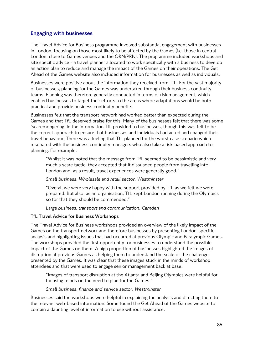# Engaging with businesses

The Travel Advice for Business programme involved substantial engagement with businesses in London, focusing on those most likely to be affected by the Games (i.e. those in central London, close to Games venues and the ORN/PRN). The programme included workshops and site specific advice - a travel planner allocated to work specifically with a business to develop an action plan to reduce and manage the impact of the Games on their operations. The Get Ahead of the Games website also included information for businesses as well as individuals.

Businesses were positive about the information they received from TfL. For the vast majority of businesses, planning for the Games was undertaken through their business continuity teams. Planning was therefore generally conducted in terms of risk management, which enabled businesses to target their efforts to the areas where adaptations would be both practical and provide business continuity benefits.

Businesses felt that the transport network had worked better than expected during the Games and that TfL deserved praise for this. Many of the businesses felt that there was some 'scaremongering' in the information TfL provided to businesses, though this was felt to be the correct approach to ensure that businesses and individuals had acted and changed their travel behaviour. There was a feeling that TfL planned for the worst case scenario which resonated with the business continuity managers who also take a risk-based approach to planning. For example:

"Whilst it was noted that the message from TfL seemed to be pessimistic and very much a scare tactic, they accepted that it dissuaded people from travelling into London and, as a result, travel experiences were generally good."

*Small business, Wholesale and retail sector, Westminster*

"Overall we were very happy with the support provided by TfL as we felt we were prepared. But also, as an organisation, TfL kept London running during the Olympics so for that they should be commended."

*Large business, transport and communication, Camden*

## **TfL Travel Advice for Business Workshops**

The Travel Advice for Business workshops provided an overview of the likely impact of the Games on the transport network and therefore businesses by presenting London-specific analysis and highlighting issues that had occurred at previous Olympic and Paralympic Games. The workshops provided the first opportunity for businesses to understand the possible impact of the Games on them. A high proportion of businesses highlighted the images of disruption at previous Games as helping them to understand the scale of the challenge presented by the Games. It was clear that these images stuck in the minds of workshop attendees and that were used to engage senior management back at base:

"Images of transport disruption at the Atlanta and Beijing Olympics were helpful for focusing minds on the need to plan for the Games."

## *Small business, finance and service sector, Westminster*

Businesses said the workshops were helpful in explaining the analysis and directing them to the relevant web-based information. Some found the Get Ahead of the Games website to contain a daunting level of information to use without assistance.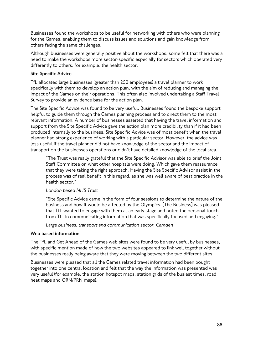Businesses found the workshops to be useful for networking with others who were planning for the Games, enabling them to discuss issues and solutions and gain knowledge from others facing the same challenges.

Although businesses were generally positive about the workshops, some felt that there was a need to make the workshops more sector-specific especially for sectors which operated very differently to others, for example, the health sector.

## **Site Specific Advice**

TfL allocated large businesses (greater than 250 employees) a travel planner to work specifically with them to develop an action plan, with the aim of reducing and managing the impact of the Games on their operations. This often also involved undertaking a Staff Travel Survey to provide an evidence base for the action plan.

The Site Specific Advice was found to be very useful. Businesses found the bespoke support helpful to guide them through the Games planning process and to direct them to the most relevant information. A number of businesses asserted that having the travel information and support from the Site Specific Advice gave the action plan more credibility than if it had been produced internally to the business. Site Specific Advice was of most benefit when the travel planner had strong experience of working with a particular sector. However, the advice was less useful if the travel planner did not have knowledge of the sector and the impact of transport on the businesses operations or didn't have detailed knowledge of the local area.

"The Trust was really grateful that the Site Specific Advisor was able to brief the Joint Staff Committee on what other hospitals were doing. Which gave them reassurance that they were taking the right approach. Having the Site Specific Advisor assist in the process was of real benefit in this regard, as she was well aware of best practice in the health sector."

## *London based NHS Trust*

"Site Specific Advice came in the form of four sessions to determine the nature of the business and how it would be affected by the Olympics. [The Business] was pleased that TfL wanted to engage with them at an early stage and noted the personal touch from TfL in communicating information that was specifically focused and engaging."

*Large business, transport and communication sector, Camden*

## **Web based information**

The TfL and Get Ahead of the Games web sites were found to be very useful by businesses, with specific mention made of how the two websites appeared to link well together without the businesses really being aware that they were moving between the two different sites.

Businesses were pleased that all the Games related travel information had been bought together into one central location and felt that the way the information was presented was very useful (for example, the station hotspot maps, station grids of the busiest times, road heat maps and ORN/PRN maps).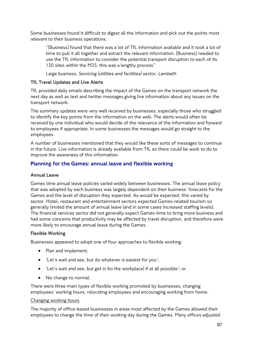Some businesses found it difficult to digest all the information and pick out the points most relevant to their business operations.

"[Business] found that there was a lot of TfL information available and it took a lot of time to pull it all together and extract the relevant information. [Business] needed to use the TfL information to consider the potential transport disruption to each of its 120 sites within the M25; this was a lengthy process"

*Large business, Servicing (utilities and facilities) sector, Lambeth*

## **TfL Travel Updates and Live Alerts**

TfL provided daily emails describing the impact of the Games on the transport network the next day as well as text and twitter messages giving live information about any issues on the transport network.

The summary updates were very well received by businesses, especially those who struggled to identify the key points from the information on the web. The alerts would often be received by one individual who would decide of the relevance of the information and forward to employees if appropriate. In some businesses the messages would go straight to the employees.

A number of businesses mentioned that they would like these sorts of messages to continue in the future. Live information is already available from TfL so there could be work to do to improve the awareness of this information.

# Planning for the Games: annual leave and flexible working

## **Annual Leave**

Games time annual leave policies varied widely between businesses. The annual leave policy that was adopted by each business was largely dependent on their business' forecasts for the Games and the level of disruption they expected. As would be expected, this varied by sector. Hotel, restaurant and entertainment sectors expected Games-related tourism so generally limited the amount of annual leave (and in some cases increased staffing levels). The financial services sector did not generally expect Games-time to bring more business and had some concerns that productivity may be affected by travel disruption, and therefore were more likely to encourage annual leave during the Games.

#### **Flexible Working**

Businesses appeared to adopt one of four approaches to flexible working:

- Plan and implement;
- 'Let's wait and see, but do whatever is easiest for you';
- 'Let's wait and see, but get in (to the workplace) if at all possible'; or
- No change to normal.

There were three main types of flexible working promoted by businesses, changing employees' working hours, relocating employees and encouraging working from home.

#### Changing working hours

The majority of office-based businesses in areas most affected by the Games allowed their employees to change the time of their working day during the Games. Many offices adjusted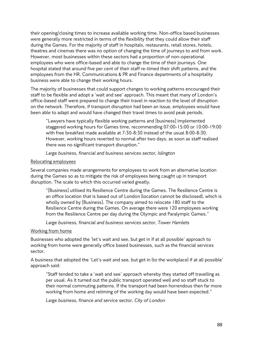their opening/closing times to increase available working time. Non-office based businesses were generally more restricted in terms of the flexibility that they could allow their staff during the Games. For the majority of staff in hospitals, restaurants, retail stores, hotels, theatres and cinemas there was no option of changing the time of journeys to and from work. However, most businesses within these sectors had a proportion of non-operational employees who were office-based and able to change the time of their journeys. One hospital stated that around five per cent of their staff re-timed their shift patterns, and the employees from the HR, Communications & PR and Finance departments of a hospitality business were able to change their working hours.

The majority of businesses that could support changes to working patterns encouraged their staff to be flexible and adopt a 'wait and see' approach. This meant that many of London's office-based staff were prepared to change their travel in reaction to the level of disruption on the network. Therefore, if transport disruption had been an issue, employees would have been able to adapt and would have changed their travel times to avoid peak periods.

"Lawyers have typically flexible working patterns and [business] implemented staggered working hours for Games time, recommending 07:00-15:00 or 10:00-19:00 with free breakfast made available at 7:30-8:30 instead of the usual 8:00-8:30. However, working hours reverted to normal after two days, as soon as staff realised there was no significant transport disruption."

*Large business, financial and business services sector, Islington*

## Relocating employees

Several companies made arrangements for employees to work from an alternative location during the Games so as to mitigate the risk of employees being caught up in transport disruption. The scale to which this occurred varied greatly.

"[Business] utilised its Resilience Centre during the Games. The Resilience Centre is an office location that is based out of London (location cannot be disclosed), which is wholly owned by [Business]. The company aimed to relocate 180 staff to the Resilience Centre during the Games. On average there were 120 employees working from the Resilience Centre per day during the Olympic and Paralympic Games."

*Large business, financial and business services sector, Tower Hamlets*

## Working from home

Businesses who adopted the 'let's wait and see, but get in if at all possible' approach to working from home were generally office based businesses, such as the financial services sector.

A business that adopted the 'Let's wait and see, but get in (to the workplace) if at all possible' approach said:

"Staff tended to take a 'wait and see' approach whereby they started off travelling as per usual. As it turned out the public transport operated well and so staff stuck to their normal commuting patterns. If the transport had been horrendous then far more working from home and retiming of the working day would have been expected."

*Large business, finance and service sector, City of London*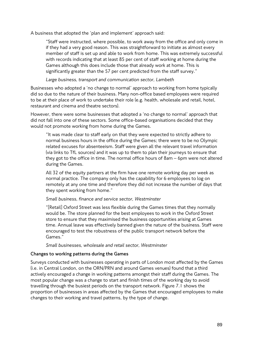A business that adopted the 'plan and implement' approach said:

"Staff were instructed, where possible, to work away from the office and only come in if they had a very good reason. This was straightforward to initiate as almost every member of staff is set up and able to work from home. This was extremely successful with records indicating that at least 85 per cent of staff working at home during the Games although this does include those that already work at home. This is significantly greater than the 57 per cent predicted from the staff survey."

## *Large business, transport and communication sector, Lambeth*

Businesses who adopted a 'no change to normal' approach to working from home typically did so due to the nature of their business. Many non-office based employees were required to be at their place of work to undertake their role (e.g. health, wholesale and retail, hotel, restaurant and cinema and theatre sectors).

However, there were some businesses that adopted a 'no change to normal' approach that did not fall into one of these sectors. Some office-based organisations decided that they would not promote working from home during the Games.

"It was made clear to staff early on that they were expected to strictly adhere to normal business hours in the office during the Games; there were to be no Olympic related excuses for absenteeism. Staff were given all the relevant travel information (via links to TfL sources) and it was up to them to plan their journeys to ensure that they got to the office in time. The normal office hours of 8am – 6pm were not altered during the Games.

All 32 of the equity partners at the firm have one remote working day per week as normal practice. The company only has the capability for 6 employees to log on remotely at any one time and therefore they did not increase the number of days that they spent working from home."

#### *Small business, finance and service sector, Westminster*

"[Retail] Oxford Street was less flexible during the Games times that they normally would be. The store planned for the best employees to work in the Oxford Street store to ensure that they maximised the business opportunities arising at Games time. Annual leave was effectively banned given the nature of the business. Staff were encouraged to test the robustness of the public transport network before the Games."

*Small businesses, wholesale and retail sector, Westminster*

## **Changes to working patterns during the Games**

Surveys conducted with businesses operating in parts of London most affected by the Games (i.e. in Central London, on the ORN/PRN and around Games venues) found that a third actively encouraged a change in working patterns amongst their staff during the Games. The most popular change was a change to start and finish times of the working day to avoid travelling through the busiest periods on the transport network. Figure 7.1 shows the proportion of businesses in areas affected by the Games that encouraged employees to make changes to their working and travel patterns, by the type of change.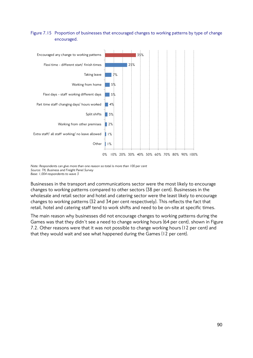## Figure 7.15 Proportion of businesses that encouraged changes to working patterns by type of change encouraged.



*Note: Respondents can give more than one reason so total is more than 100 per cent Source: TfL Business and Freight Panel Survey Base: 1,004 respondents to wave 3*

Businesses in the transport and communications sector were the most likely to encourage changes to working patterns compared to other sectors (38 per cent). Businesses in the wholesale and retail sector and hotel and catering sector were the least likely to encourage changes to working patterns (32 and 34 per cent respectively). This reflects the fact that retail, hotel and catering staff tend to work shifts and need to be on-site at specific times.

The main reason why businesses did not encourage changes to working patterns during the Games was that they didn't see a need to change working hours (64 per cent), shown in Figure 7.2. Other reasons were that it was not possible to change working hours (12 per cent) and that they would wait and see what happened during the Games (12 per cent).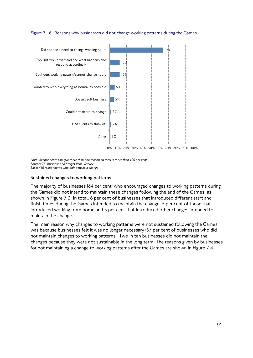#### Figure 7.16 Reasons why businesses did not change working patterns during the Games.



*Note: Respondents can give more than one reason so total is more than 100 per cent Source: TfL Business and Freight Panel Survey Base: 466 respondents who didn't make a change*

#### **Sustained changes to working patterns**

The majority of businesses (84 per cent) who encouraged changes to working patterns during the Games did not intend to maintain these changes following the end of the Games, as shown in Figure 7.3. In total, 6 per cent of businesses that introduced different start and finish times during the Games intended to maintain the change, 5 per cent of those that introduced working from home and 5 per cent that introduced other changes intended to maintain the change.

The main reason why changes to working patterns were not sustained following the Games was because businesses felt it was no longer necessary (67 per cent of businesses who did not maintain changes to working patterns). Two in ten businesses did not maintain the changes because they were not sustainable in the long term. The reasons given by businesses for not maintaining a change to working patterns after the Games are shown in Figure 7.4.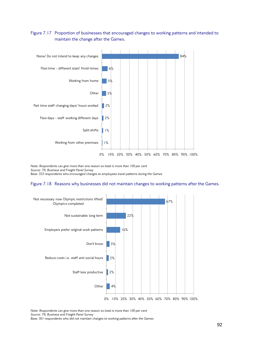## Figure 7.17 Proportion of businesses that encouraged changes to working patterns and intended to maintain the change after the Games.



*Note: Respondents can give more than one reason so total is more than 100 per cent Source: TfL Business and Freight Panel Survey Base: 353 respondents who encouraged changes to employees travel patterns during the Games*

#### Figure 7.18 Reasons why businesses did not maintain changes to working patterns after the Games.



*Note: Respondents can give more than one reason so total is more than 100 per cent Source: TfL Business and Freight Panel Survey* 

*Base: 301 respondents who did not maintain changes to working patterns after the Games*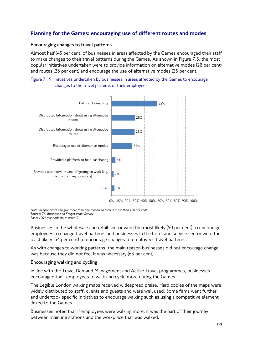# Planning for the Games: encouraging use of different routes and modes

#### **Encouraging changes to travel patterns**

Almost half (45 per cent) of businesses in areas affected by the Games encouraged their staff to make changes to their travel patterns during the Games. As shown in Figure 7.5, the most popular initiatives undertaken were to provide information on alternative modes (28 per cent) and routes (28 per cent) and encourage the use of alternative modes (25 per cent).





*Note: Respondents can give more than one reason so total is more than 100 per cent Source: TfL Business and Freight Panel Survey* 

*Base: 1004 respondents to wave 3*

Businesses in the wholesale and retail sector were the most likely (50 per cent) to encourage employees to change travel patterns and businesses in the hotel and service sector were the least likely (34 per cent) to encourage changes to employees travel patterns.

As with changes to working patterns, the main reason businesses did not encourage change was because they did not feel it was necessary (63 per cent).

#### **Encouraging walking and cycling**

In line with the Travel Demand Management and Active Travel programmes, businesses encouraged their employees to walk and cycle more during the Games.

The Legible London walking maps received widespread praise. Hard copies of the maps were widely distributed to staff, clients and guests and were well used. Some firms went further and undertook specific initiatives to encourage walking such as using a competitive element linked to the Games.

Businesses noted that if employees were walking more, it was the part of their journey between mainline stations and the workplace that was walked.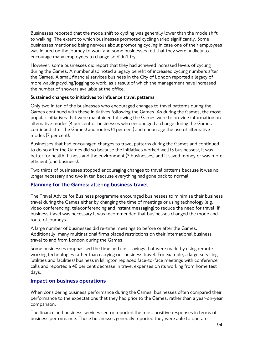Businesses reported that the mode shift to cycling was generally lower than the mode shift to walking. The extent to which businesses promoted cycling varied significantly. Some businesses mentioned being nervous about promoting cycling in case one of their employees was injured on the journey to work and some businesses felt that they were unlikely to encourage many employees to change so didn't try.

However, some businesses did report that they had achieved increased levels of cycling during the Games. A number also noted a legacy benefit of increased cycling numbers after the Games. A small financial services business in the City of London reported a legacy of more walking/cycling/jogging to work, as a result of which the management have increased the number of showers available at the office.

## **Sustained changes to initiatives to influence travel patterns**

Only two in ten of the businesses who encouraged changes to travel patterns during the Games continued with these initiatives following the Games. As during the Games, the most popular initiatives that were maintained following the Games were to provide information on alternative modes (4 per cent of businesses who encouraged a change during the Games continued after the Games) and routes (4 per cent) and encourage the use of alternative modes (7 per cent).

Businesses that had encouraged changes to travel patterns during the Games and continued to do so after the Games did so because the initiatives worked well (3 businesses), it was better for health, fitness and the environment (2 businesses) and it saved money or was more efficient (one business).

Two thirds of businesses stopped encouraging changes to travel patterns because it was no longer necessary and two in ten because everything had gone back to normal.

# Planning for the Games: altering business travel

The Travel Advice for Business programme encouraged businesses to minimise their business travel during the Games either by changing the time of meetings or using technology (e.g. video conferencing, teleconferencing and instant messaging) to reduce the need for travel. If business travel was necessary it was recommended that businesses changed the mode and route of journeys.

A large number of businesses did re-time meetings to before or after the Games. Additionally, many multinational firms placed restrictions on their international business travel to and from London during the Games.

Some businesses emphasised the time and cost savings that were made by using remote working technologies rather than carrying out business travel. For example, a large servicing (utilities and facilities) business in Islington replaced face-to-face meetings with conference calls and reported a 40 per cent decrease in travel expenses on its working from home test days.

## Impact on business operations

When considering business performance during the Games, businesses often compared their performance to the expectations that they had prior to the Games, rather than a year-on-year comparison.

The finance and business services sector reported the most positive responses in terms of business performance. These businesses generally reported they were able to operate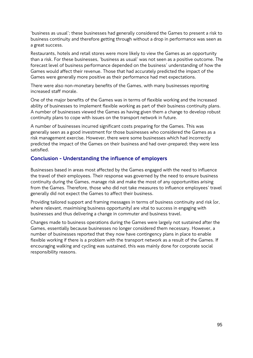'business as usual'; these businesses had generally considered the Games to present a risk to business continuity and therefore getting through without a drop in performance was seen as a great success.

Restaurants, hotels and retail stores were more likely to view the Games as an opportunity than a risk. For these businesses, 'business as usual' was not seen as a positive outcome. The forecast level of business performance depended on the business' understanding of how the Games would affect their revenue. Those that had accurately predicted the impact of the Games were generally more positive as their performance had met expectations.

There were also non-monetary benefits of the Games, with many businesses reporting increased staff morale.

One of the major benefits of the Games was in terms of flexible working and the increased ability of businesses to implement flexible working as part of their business continuity plans. A number of businesses viewed the Games as having given them a change to develop robust continuity plans to cope with issues on the transport network in future.

A number of businesses incurred significant costs preparing for the Games. This was generally seen as a good investment for those businesses who considered the Games as a risk management exercise. However, there were some businesses which had incorrectly predicted the impact of the Games on their business and had over-prepared; they were less satisfied.

# Conclusion - Understanding the influence of employers

Businesses based in areas most affected by the Games engaged with the need to influence the travel of their employees. Their response was governed by the need to ensure business continuity during the Games, manage risk and make the most of any opportunities arising from the Games. Therefore, those who did not take measures to influence employees' travel generally did not expect the Games to affect their business.

Providing tailored support and framing messages in terms of business continuity and risk (or, where relevant, maximising business opportunity) are vital to success in engaging with businesses and thus delivering a change in commuter and business travel.

Changes made to business operations during the Games were largely not sustained after the Games, essentially because businesses no longer considered them necessary. However, a number of businesses reported that they now have contingency plans in place to enable flexible working if there is a problem with the transport network as a result of the Games. If encouraging walking and cycling was sustained, this was mainly done for corporate social responsibility reasons.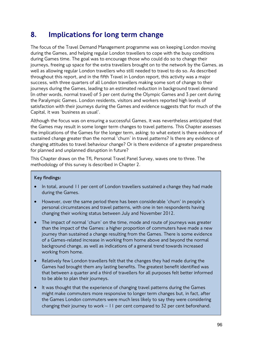# 8. Implications for long term change

The focus of the Travel Demand Management programme was on keeping London moving during the Games, and helping regular London travellers to cope with the busy conditions during Games time. The goal was to encourage those who could do so to change their journeys, freeing up space for the extra travellers brought on to the network by the Games, as well as allowing regular London travellers who still needed to travel to do so. As described throughout this report, and in the fifth Travel in London report, this activity was a major success, with three quarters of all London travellers making some sort of change to their journeys during the Games, leading to an estimated reduction in background travel demand (in other words, normal travel) of 5 per cent during the Olympic Games and 3 per cent during the Paralympic Games. London residents, visitors and workers reported high levels of satisfaction with their journeys during the Games and evidence suggests that for much of the Capital, it was 'business as usual'.

Although the focus was on ensuring a successful Games, it was nevertheless anticipated that the Games may result in some longer term changes to travel patterns. This Chapter assesses the implications of the Games for the longer term, asking: to what extent is there evidence of sustained change greater than the normal 'churn' in travel patterns? Is there any evidence of changing attitudes to travel behaviour change? Or is there evidence of a greater preparedness for planned and unplanned disruption in future?

This Chapter draws on the TfL Personal Travel Panel Survey, waves one to three. The methodology of this survey is described in Chapter 2.

## **Key findings:**

- In total, around 11 per cent of London travellers sustained a change they had made during the Games.
- However, over the same period there has been considerable 'churn' in people's personal circumstances and travel patterns, with one in ten respondents having changing their working status between July and November 2012.
- The impact of normal 'churn' on the time, mode and route of journeys was greater than the impact of the Games: a higher proportion of commuters have made a new journey than sustained a change resulting from the Games. There is some evidence of a Games-related increase in working from home above and beyond the normal background change, as well as indications of a general trend towards increased working from home.
- Relatively few London travellers felt that the changes they had made during the Games had brought them any lasting benefits. The greatest benefit identified was that between a quarter and a third of travellers for all purposes felt better informed to be able to plan their journeys.
- It was thought that the experience of changing travel patterns during the Games might make commuters more responsive to longer term changes but, in fact, after the Games London commuters were much less likely to say they were considering changing their journey to work – 11 per cent compared to 32 per cent beforehand.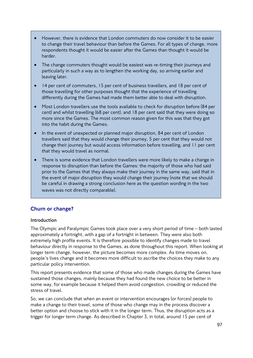- However, there is evidence that London commuters do now consider it to be easier to change their travel behaviour than before the Games. For all types of change, more respondents thought it would be easier after the Games than thought it would be harder.
- The change commuters thought would be easiest was re-timing their journeys and particularly in such a way as to lengthen the working day, so arriving earlier and leaving later.
- 14 per cent of commuters, 15 per cent of business travellers, and 18 per cent of those travelling for other purposes thought that the experience of travelling differently during the Games had made them better able to deal with disruption.
- Most London travellers use the tools available to check for disruption before (84 per cent) and whilst travelling (68 per cent), and 18 per cent said that they were doing so more since the Games. The most common reason given for this was that they got into the habit during the Games.
- In the event of unexpected or planned major disruption, 84 per cent of London travellers said that they would change their journey, 5 per cent that they would not change their journey but would access information before travelling, and 11 per cent that they would travel as normal.
- There is some evidence that London travellers were more likely to make a change in response to disruption than before the Games: the majority of those who had said prior to the Games that they always make their journey in the same way, said that in the event of major disruption they would change their journey (note that we should be careful in drawing a strong conclusion here as the question wording in the two waves was not directly comparable).

## Churn or change?

#### **Introduction**

The Olympic and Paralympic Games took place over a very short period of time – both lasted approximately a fortnight, with a gap of a fortnight in between. They were also both extremely high profile events. It is therefore possible to identify changes made to travel behaviour directly in response to the Games, as done throughout this report. When looking at longer term change, however, the picture becomes more complex. As time moves on, people's lives change and it becomes more difficult to ascribe the choices they make to any particular policy intervention.

This report presents evidence that some of those who made changes during the Games have sustained those changes, mainly because they had found the new choice to be better in some way, for example because it helped them avoid congestion, crowding or reduced the stress of travel.

So, we can conclude that when an event or intervention encourages (or forces) people to make a change to their travel, some of those who change may in the process discover a better option and choose to stick with it in the longer term. Thus, the disruption acts as a trigger for longer term change. As described in Chapter 3, in total, around 15 per cent of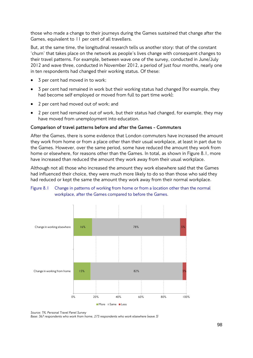those who made a change to their journeys during the Games sustained that change after the Games, equivalent to 11 per cent of all travellers.

But, at the same time, the longitudinal research tells us another story: that of the constant 'churn' that takes place on the network as people's lives change with consequent changes to their travel patterns. For example, between wave one of the survey, conducted in June/July 2012 and wave three, conducted in November 2012, a period of just four months, nearly one in ten respondents had changed their working status. Of these:

- 3 per cent had moved in to work;
- 3 per cent had remained in work but their working status had changed (for example, they had become self employed or moved from full to part time work);
- 2 per cent had moved out of work; and
- 2 per cent had remained out of work, but their status had changed, for example, they may have moved from unemployment into education.

#### **Comparison of travel patterns before and after the Games - Commuters**

After the Games, there is some evidence that London commuters have increased the amount they work from home or from a place other than their usual workplace, at least in part due to the Games. However, over the same period, some have reduced the amount they work from home or elsewhere, for reasons other than the Games. In total, as shown in Figure 8.1, more have increased than reduced the amount they work away from their usual workplace.

Although not all those who increased the amount they work elsewhere said that the Games had influenced their choice, they were much more likely to do so than those who said they had reduced or kept the same the amount they work away from their normal workplace.

#### Figure 8.1 Change in patterns of working from home or from a location other than the normal workplace, after the Games compared to before the Games.



*Source: TfL Personal Travel Panel Survey* 

*Base: 367 respondents who work from home, 273 respondents who work elsewhere (wave 3)*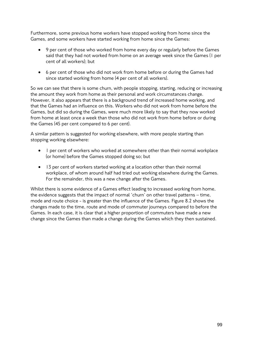Furthermore, some previous home workers have stopped working from home since the Games, and some workers have started working from home since the Games:

- 9 per cent of those who worked from home every day or regularly before the Games said that they had not worked from home on an average week since the Games (1 per cent of all workers); but
- 6 per cent of those who did not work from home before or during the Games had since started working from home (4 per cent of all workers).

So we can see that there is some churn, with people stopping, starting, reducing or increasing the amount they work from home as their personal and work circumstances change. However, it also appears that there is a background trend of increased home working, and that the Games had an influence on this. Workers who did not work from home before the Games, but did so during the Games, were much more likely to say that they now worked from home at least once a week than those who did not work from home before or during the Games (45 per cent compared to 6 per cent).

A similar pattern is suggested for working elsewhere, with more people starting than stopping working elsewhere:

- 1 per cent of workers who worked at somewhere other than their normal workplace (or home) before the Games stopped doing so; but
- 13 per cent of workers started working at a location other than their normal workplace, of whom around half had tried out working elsewhere during the Games. For the remainder, this was a new change after the Games.

Whilst there is some evidence of a Games effect leading to increased working from home, the evidence suggests that the impact of normal 'churn' on other travel patterns – time, mode and route choice - is greater than the influence of the Games. Figure 8.2 shows the changes made to the time, route and mode of commuter journeys compared to before the Games. In each case, it is clear that a higher proportion of commuters have made a new change since the Games than made a change during the Games which they then sustained.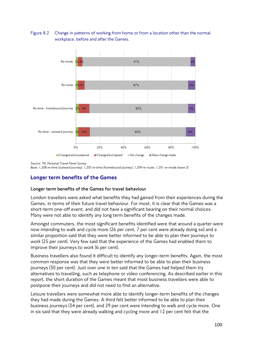## Figure 8.2 Change in patterns of working from home or from a location other than the normal workplace, before and after the Games.



*Source: TfL Personal Travel Panel Survey* 

*Base: 1,208 re-time (outward journey), 1,205 re-time (homebound journey), 1,209 re-route, 1,201 re-mode (wave 3)*

# Longer term benefits of the Games

#### **Longer term benefits of the Games for travel behaviour**

London travellers were asked what benefits they had gained from their experiences during the Games, in terms of their future travel behaviour. For most, it is clear that the Games was a short-term one-off event, and did not have a significant bearing on their normal choices. Many were not able to identify any long term benefits of the changes made.

Amongst commuters, the most significant benefits identified were that around a quarter were now intending to walk and cycle more (26 per cent, 7 per cent were already doing so) and a similar proportion said that they were better informed to be able to plan their journeys to work (25 per cent). Very few said that the experience of the Games had enabled them to improve their journeys to work (6 per cent).

Business travellers also found it difficult to identify any longer-term benefits. Again, the most common response was that they were better informed to be able to plan their business journeys (30 per cent). Just over one in ten said that the Games had helped them try alternatives to travelling, such as telephone or video conferencing. As described earlier in this report, the short duration of the Games meant that most business travellers were able to postpone their journeys and did not need to find an alternative.

Leisure travellers were somewhat more able to identify longer-term benefits of the changes they had made during the Games. A third felt better informed to be able to plan their business journeys (34 per cent), and 29 per cent were intending to walk and cycle more. One in six said that they were already walking and cycling more and 12 per cent felt that the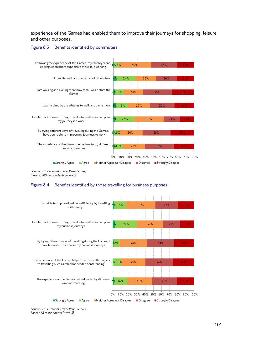experience of the Games had enabled them to improve their journeys for shopping, leisure and other purposes.





*Source: TfL Personal Travel Panel Survey Base: 1,200 respondents (wave 3)*

#### Figure 8.4 Benefits identified by those travelling for business purposes.



*Source: TfL Personal Travel Panel Survey Base: 668 respondents (wave 3)*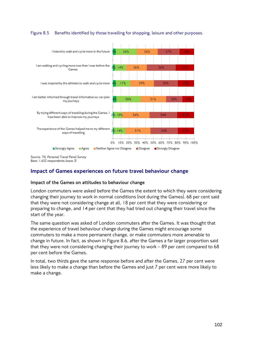#### Figure 8.5 Benefits identified by those travelling for shopping, leisure and other purposes.



*Source: TfL Personal Travel Panel Survey Base: 1,652 respondents (wave 3)*

# Impact of Games experiences on future travel behaviour change

#### **Impact of the Games on attitudes to behaviour change**

London commuters were asked before the Games the extent to which they were considering changing their journey to work in normal conditions (not during the Games). 68 per cent said that they were not considering change at all, 18 per cent that they were considering or preparing to change, and 14 per cent that they had tried out changing their travel since the start of the year.

The same question was asked of London commuters after the Games. It was thought that the experience of travel behaviour change during the Games might encourage some commuters to make a more permanent change, or make commuters more amenable to change in future. In fact, as shown in Figure 8.6, after the Games a far larger proportion said that they were not considering changing their journey to work – 89 per cent compared to 68 per cent before the Games.

In total, two thirds gave the same response before and after the Games, 27 per cent were less likely to make a change than before the Games and just 7 per cent were more likely to make a change.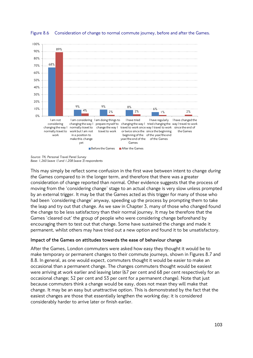

Figure 8.6 Consideration of change to normal commute journey, before and after the Games.

This may simply be reflect some confusion in the first wave between intent to change *during the Games* compared to in the longer term, and therefore that there was a greater consideration of change reported than normal. Other evidence suggests that the process of moving from the 'considering change' stage to an actual change is very slow unless prompted by an external trigger. It may be that the Games acted as this trigger for many of those who had been 'considering change' anyway, speeding up the process by prompting them to take the leap and try out that change. As we saw in Chapter 3, many of those who changed found the change to be less satisfactory than their normal journey. It may be therefore that the Games 'cleared out' the group of people who were considering change beforehand by encouraging them to test out that change. Some have sustained the change and made it permanent, whilst others may have tried out a new option and found it to be unsatisfactory.

## **Impact of the Games on attitudes towards the ease of behaviour change**

After the Games, London commuters were asked how easy they thought it would be to make temporary or permanent changes to their commute journeys, shown in Figures 8.7 and 8.8. In general, as one would expect, commuters thought it would be easier to make an occasional than a permanent change. The changes commuters thought would be easiest were arriving at work earlier and leaving later (67 per cent and 68 per cent respectively for an occasional change; 52 per cent and 53 per cent for a permanent change). Note that just because commuters think a change would be easy, does not mean they will make that change. It may be an easy but unattractive option. This is demonstrated by the fact that the easiest changes are those that essentially lengthen the working day; it is considered considerably harder to arrive later or finish earlier.

*Source: TfL Personal Travel Panel Survey Base: 1,260 (wave 1) and 1,208 (wave 3) respondents*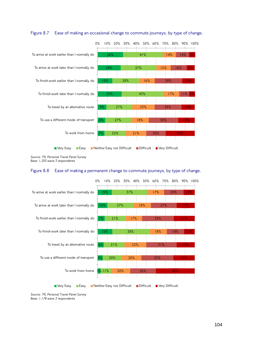

#### Figure 8.7 Ease of making an occasional change to commute journeys, by type of change.

*Source: TfL Personal Travel Panel Survey Base: 1,205 wave 3 respondents*

#### Figure 8.8 Ease of making a permanent change to commute journeys, by type of change.



*Source: TfL Personal Travel Panel Survey Base: 1,178 wave 3 respondents*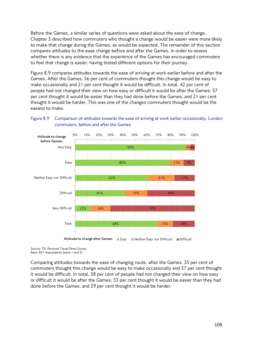Before the Games, a similar series of questions were asked about the ease of change. Chapter 3 described how commuters who thought a change would be easier were more likely to make that change during the Games, as would be expected. The remainder of this section compares attitudes to the ease change before and after the Games, in order to assess whether there is any evidence that the experience of the Games has encouraged commuters to feel that change is easier, having tested different options for their journey.

Figure 8.9 compares attitudes towards the ease of arriving at work earlier before and after the Games. After the Games, 56 per cent of commuters thought this change would be easy to make occasionally and 21 per cent thought it would be difficult. In total, 42 per cent of people had not changed their view on how easy or difficult it would be after the Games; 37 per cent thought it would be easier than they had done before the Games; and 21 per cent thought it would be harder. This was one of the changes commuters thought would be the easiest to make.



## Figure 8.9 Comparison of attitudes towards the ease of arriving at work earlier occasionally, London commuters, before and after the Games.

*Source: TfL Personal Travel Panel Survey Base: 857 respondents (wave 1 and 3)* 

Comparing attitudes towards the ease of changing route, after the Games, 35 per cent of commuters thought this change would be easy to make occasionally and 37 per cent thought it would be difficult. In total, 38 per cent of people had not changed their view on how easy or difficult it would be after the Games; 33 per cent thought it would be easier than they had done before the Games; and 29 per cent thought it would be harder.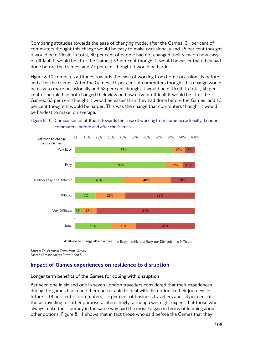Comparing attitudes towards the ease of changing mode, after the Games, 31 per cent of commuters thought this change would be easy to make occasionally and 45 per cent thought it would be difficult. In total, 40 per cent of people had not changed their view on how easy or difficult it would be after the Games; 33 per cent thought it would be easier than they had done before the Games; and 27 per cent thought it would be harder.

Figure 8.10 compares attitudes towards the ease of working from home occasionally before and after the Games. After the Games, 21 per cent of commuters thought this change would be easy to make occasionally and 58 per cent thought it would be difficult. In total, 50 per cent of people had not changed their view on how easy or difficult it would be after the Games; 35 per cent thought it would be easier than they had done before the Games; and 15 per cent thought it would be harder. This was the change that commuters thought it would be hardest to make, on average.





*Source: TfL Personal Travel Panel Survey Base: 847 respondents (wave 1 and 3)* 

# Impact of Games experiences on resilience to disruption

#### **Longer term benefits of the Games for coping with disruption**

Between one in six and one in seven London travellers considered that their experiences during the games had made them better able to deal with disruption to their journeys in future – 14 per cent of commuters, 15 per cent of business travellers and 18 per cent of those travelling for other purposes. Interestingly, although we might expect that those who always make their journey in the same way had the most to gain in terms of learning about other options, Figure 8.11 shows that in fact those who said before the Games that they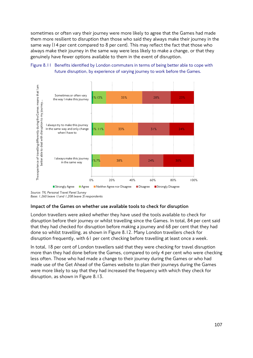sometimes or often vary their journey were more likely to agree that the Games had made them more resilient to disruption than those who said they always make their journey in the same way (14 per cent compared to 8 per cent). This may reflect the fact that those who always make their journey in the same way were less likely to make a change, or that they genuinely have fewer options available to them in the event of disruption.





*Base: 1,260 (wave 1) and 1,208 (wave 3) respondents*

#### **Impact of the Games on whether use available tools to check for disruption**

London travellers were asked whether they have used the tools available to check for disruption before their journey or whilst travelling since the Games. In total, 84 per cent said that they had checked for disruption before making a journey and 68 per cent that they had done so whilst travelling, as shown in Figure 8.12. Many London travellers check for disruption frequently, with 61 per cent checking before travelling at least once a week.

In total, 18 per cent of London travellers said that they were checking for travel disruption more than they had done before the Games, compared to only 4 per cent who were checking less often. Those who had made a change to their journey during the Games or who had made use of the Get Ahead of the Games website to plan their journeys during the Games were more likely to say that they had increased the frequency with which they check for disruption, as shown in Figure 8.13.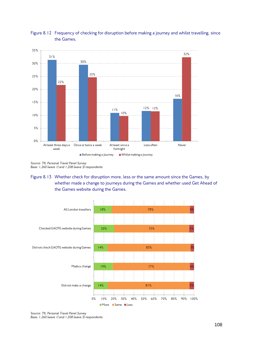

## Figure 8.12 Frequency of checking for disruption before making a journey and whilst travelling, since the Games.

*Source: TfL Personal Travel Panel Survey Base: 1,260 (wave 1) and 1,208 (wave 3) respondents*

## Figure 8.13 Whether check for disruption more, less or the same amount since the Games, by whether made a change to journeys during the Games and whether used Get Ahead of the Games website during the Games.



*Source: TfL Personal Travel Panel Survey Base: 1,260 (wave 1) and 1,208 (wave 3) respondents*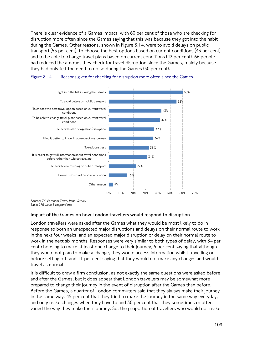There is clear evidence of a Games impact, with 60 per cent of those who are checking for disruption more often since the Games saying that this was because they got into the habit during the Games. Other reasons, shown in Figure 8.14, were to avoid delays on public transport (55 per cent), to choose the best options based on current conditions (43 per cent) and to be able to change travel plans based on current conditions (42 per cent). 66 people had reduced the amount they check for travel disruption since the Games, mainly because they had only felt the need to do so during the Games (50 per cent).





*Source: TfL Personal Travel Panel Survey Base: 276 wave 3 respondents*

#### **Impact of the Games on how London travellers would respond to disruption**

London travellers were asked after the Games what they would be most likely to do in response to both an unexpected major disruptions and delays on their normal route to work in the next four weeks, and an expected major disruption or delay on their normal route to work in the next six months. Responses were very similar to both types of delay, with 84 per cent choosing to make at least one change to their journey, 5 per cent saying that although they would not plan to make a change, they would access information whilst travelling or before setting off, and 11 per cent saying that they would not make any changes and would travel as normal.

It is difficult to draw a firm conclusion, as not exactly the same questions were asked before and after the Games, but it does appear that London travellers may be somewhat more prepared to change their journey in the event of disruption after the Games than before. Before the Games, a quarter of London commuters said that they always make their journey in the same way, 45 per cent that they tried to make the journey in the same way everyday, and only make changes when they have to and 30 per cent that they sometimes or often varied the way they make their journey. So, the proportion of travellers who would not make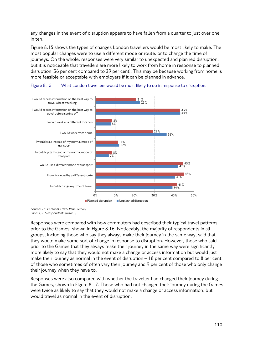any changes in the event of disruption appears to have fallen from a quarter to just over one in ten.

Figure 8.15 shows the types of changes London travellers would be most likely to make. The most popular changes were to use a different mode or route, or to change the time of journeys. On the whole, responses were very similar to unexpected and planned disruption, but it is noticeable that travellers are more likely to work from home in response to planned disruption (36 per cent compared to 29 per cent). This may be because working from home is more feasible or acceptable with employers if it can be planned in advance.





*Source: TfL Personal Travel Panel Survey Base: 1,516 respondents (wave 3)*

Responses were compared with how commuters had described their typical travel patterns prior to the Games, shown in Figure 8.16. Noticeably, the majority of respondents in all groups, including those who say they always make their journey in the same way, said that they would make some sort of change in response to disruption. However, those who said prior to the Games that they always make their journey in the same way were significantly more likely to say that they would not make a change or access information but would just make their journey as normal in the event of disruption – 18 per cent compared to 8 per cent of those who sometimes of often vary their journey and 9 per cent of those who only change their journey when they have to.

Responses were also compared with whether the traveller had changed their journey during the Games, shown in Figure 8.17. Those who had not changed their journey during the Games were twice as likely to say that they would not make a change or access information, but would travel as normal in the event of disruption.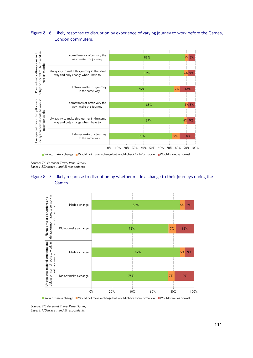### Figure 8.16 Likely response to disruption by experience of varying journey to work before the Games, London commuters.



Would make a change Would not make a change but would check for information Would travel as normal

*Source: TfL Personal Travel Panel Survey Base: 1,230 (wave 1 and 3) respondents*





Would make a change Would not make a change but would check for information Would travel as normal

*Source: TfL Personal Travel Panel Survey Base: 1,170 (wave 1 and 3) respondents*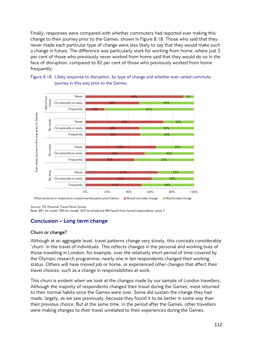Finally, responses were compared with whether commuters had reported ever making this change to their journey prior to the Games, shown in Figure 8.18. Those who said that they never made each particular type of change were less likely to say that they would make such a change in future. The difference was particularly stark for working from home, where just 3 per cent of those who previously never worked from home said that they would do so in the face of disruption, compared to 82 per cent of those who previously worked from home frequently.





*Base: 881 (re-route), 900 (re-mode), 852 (re-time)| and 884 (work from home) respondents, wave 3* 

# Conclusion – Long term change

### **Churn or change?**

Although at an aggregate level, travel patterns change very slowly, this conceals considerable 'churn' in the travel of individuals. This reflects changes in the personal and working lives of those travelling in London; for example, over the relatively short period of time covered by the Olympic research programme, nearly one in ten respondents changed their working status. Others will have moved job or home, or experienced other changes that affect their travel choices, such as a change in responsibilities at work.

This churn is evident when we look at the changes made by our sample of London travellers. Although the majority of respondents changed their travel during the Games, most returned to their normal habits once the Games were over. Some did sustain the change they had made, largely, as we saw previously, because they found it to be better in some way than their previous choice. But at the same time, in the period after the Games, other travellers were making changes to their travel unrelated to their experiences during the Games.

*Source: TfL Personal Travel Panel Survey*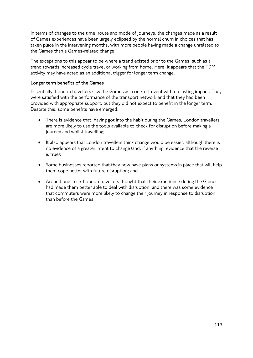In terms of changes to the time, route and mode of journeys, the changes made as a result of Games experiences have been largely eclipsed by the normal churn in choices that has taken place in the intervening months, with more people having made a change unrelated to the Games than a Games-related change.

The exceptions to this appear to be where a trend existed prior to the Games, such as a trend towards increased cycle travel or working from home. Here, it appears that the TDM activity may have acted as an additional trigger for longer term change.

### **Longer term benefits of the Games**

Essentially, London travellers saw the Games as a one-off event with no lasting impact. They were satisfied with the performance of the transport network and that they had been provided with appropriate support, but they did not expect to benefit in the longer term. Despite this, some benefits have emerged:

- There is evidence that, having got into the habit during the Games, London travellers are more likely to use the tools available to check for disruption before making a journey and whilst travelling;
- It also appears that London travellers think change would be easier, although there is no evidence of a greater intent to change (and, if anything, evidence that the reverse is true);
- Some businesses reported that they now have plans or systems in place that will help them cope better with future disruption; and
- Around one in six London travellers thought that their experience during the Games had made them better able to deal with disruption, and there was some evidence that commuters were more likely to change their journey in response to disruption than before the Games.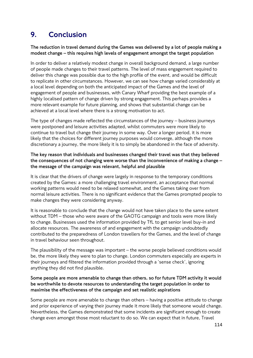# 9. Conclusion

**The reduction in travel demand during the Games was delivered by a lot of people making a modest change – this requires high levels of engagement amongst the target population**

In order to deliver a relatively modest change in overall background demand, a large number of people made changes to their travel patterns. The level of mass engagement required to deliver this change was possible due to the high profile of the event, and would be difficult to replicate in other circumstances. However, we can see how change varied considerably at a local level depending on both the anticipated impact of the Games and the level of engagement of people and businesses, with Canary Wharf providing the best example of a highly localised pattern of change driven by strong engagement. This perhaps provides a more relevant example for future planning, and shows that substantial change can be achieved at a local level where there is a strong motivation to act.

The type of changes made reflected the circumstances of the journey – business journeys were postponed and leisure activities adapted, whilst commuters were more likely to continue to travel but change their journey in some way. Over a longer period, it is more likely that the choices for different journey purposes would converge, although the more discretionary a journey, the more likely it is to simply be abandoned in the face of adversity.

**The key reason that individuals and businesses changed their travel was that they believed the consequences of not changing were worse than the inconvenience of making a change – the message of the campaign was relevant, helpful and plausible**

It is clear that the drivers of change were largely in response to the temporary conditions created by the Games: a more challenging travel environment, an acceptance that normal working patterns would need to be relaxed somewhat, and the Games taking over from normal leisure activities. There is no significant evidence that the Games prompted people to make changes they were considering anyway.

It is reasonable to conclude that the change would not have taken place to the same extent without TDM – those who were aware of the GAOTG campaign and tools were more likely to change. Businesses used the information provided by TfL to get senior level buy-in and allocate resources. The awareness of and engagement with the campaign undoubtedly contributed to the preparedness of London travellers for the Games, and the level of change in travel behaviour seen throughout.

The plausibility of the message was important – the worse people believed conditions would be, the more likely they were to plan to change. London commuters especially are experts in their journeys and filtered the information provided through a 'sense check', ignoring anything they did not find plausible.

### **Some people are more amenable to change than others, so for future TDM activity it would be worthwhile to devote resources to understanding the target population in order to maximise the effectiveness of the campaign and set realistic aspirations**

Some people are more amenable to change than others – having a positive attitude to change and prior experience of varying their journey made it more likely that someone would change. Nevertheless, the Games demonstrated that some incidents are significant enough to create change even amongst those most reluctant to do so. We can expect that in future, Travel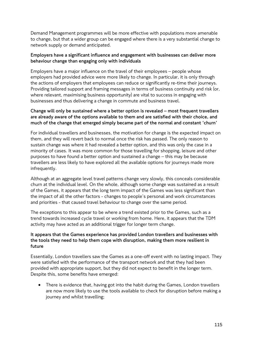Demand Management programmes will be more effective with populations more amenable to change, but that a wider group can be engaged where there is a very substantial change to network supply or demand anticipated.

### **Employers have a significant influence and engagement with businesses can deliver more behaviour change than engaging only with individuals**

Employers have a major influence on the travel of their employees – people whose employers had provided advice were more likely to change. In particular, it is only through the actions of employers that employees can reduce or significantly re-time their journeys. Providing tailored support and framing messages in terms of business continuity and risk (or, where relevant, maximising business opportunity) are vital to success in engaging with businesses and thus delivering a change in commute and business travel.

### **Change will only be sustained where a better option is revealed – most frequent travellers are already aware of the options available to them and are satisfied with their choice, and much of the change that emerged simply became part of the normal and constant 'churn'**

For individual travellers and businesses, the motivation for change is the expected impact on them, and they will revert back to normal once the risk has passed. The only reason to sustain change was where it had revealed a better option, and this was only the case in a minority of cases. It was more common for those travelling for shopping, leisure and other purposes to have found a better option and sustained a change – this may be because travellers are less likely to have explored all the available options for journeys made more infrequently.

Although at an aggregate level travel patterns change very slowly, this conceals considerable churn at the individual level. On the whole, although some change was sustained as a result of the Games, it appears that the long term impact of the Games was less significant than the impact of all the other factors - changes to people's personal and work circumstances and priorities - that caused travel behaviour to change over the same period.

The exceptions to this appear to be where a trend existed prior to the Games, such as a trend towards increased cycle travel or working from home. Here, it appears that the TDM activity may have acted as an additional trigger for longer term change.

## **It appears that the Games experience has provided London travellers and businesses with the tools they need to help them cope with disruption, making them more resilient in future**

Essentially, London travellers saw the Games as a one-off event with no lasting impact. They were satisfied with the performance of the transport network and that they had been provided with appropriate support, but they did not expect to benefit in the longer term. Despite this, some benefits have emerged:

There is evidence that, having got into the habit during the Games, London travellers are now more likely to use the tools available to check for disruption before making a journey and whilst travelling;